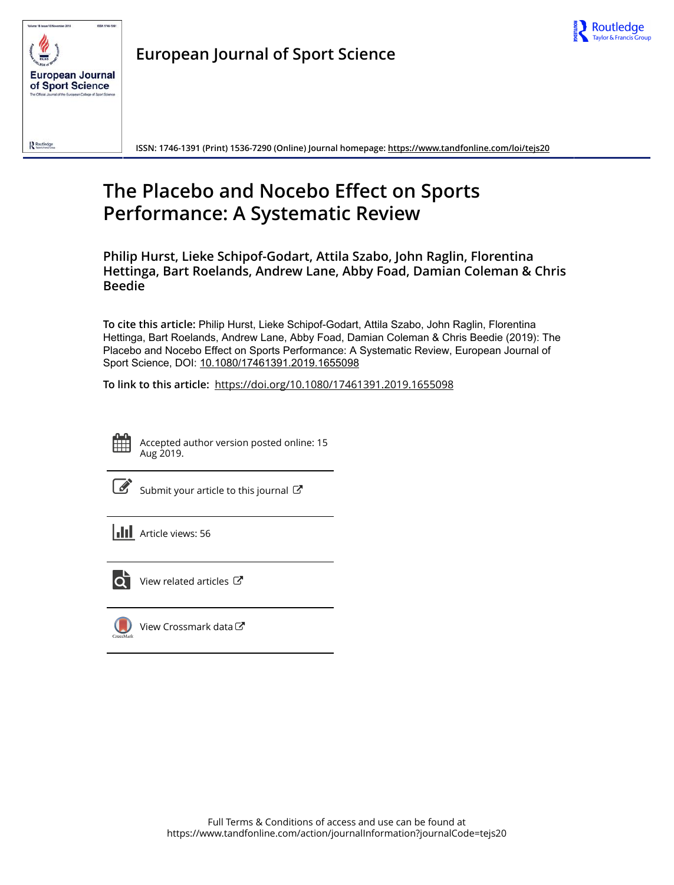



**European Journal of Sport Science**

**ISSN: 1746-1391 (Print) 1536-7290 (Online) Journal homepage:<https://www.tandfonline.com/loi/tejs20>**

# **The Placebo and Nocebo Effect on Sports Performance: A Systematic Review**

**Philip Hurst, Lieke Schipof-Godart, Attila Szabo, John Raglin, Florentina Hettinga, Bart Roelands, Andrew Lane, Abby Foad, Damian Coleman & Chris Beedie**

**To cite this article:** Philip Hurst, Lieke Schipof-Godart, Attila Szabo, John Raglin, Florentina Hettinga, Bart Roelands, Andrew Lane, Abby Foad, Damian Coleman & Chris Beedie (2019): The Placebo and Nocebo Effect on Sports Performance: A Systematic Review, European Journal of Sport Science, DOI: [10.1080/17461391.2019.1655098](https://www.tandfonline.com/action/showCitFormats?doi=10.1080/17461391.2019.1655098)

**To link to this article:** <https://doi.org/10.1080/17461391.2019.1655098>



Accepted author version posted online: 15 Aug 2019.

[Submit your article to this journal](https://www.tandfonline.com/action/authorSubmission?journalCode=tejs20&show=instructions)  $\mathbb{Z}$ 





[View related articles](https://www.tandfonline.com/doi/mlt/10.1080/17461391.2019.1655098)  $\mathbb{Z}$ 



[View Crossmark data](http://crossmark.crossref.org/dialog/?doi=10.1080/17461391.2019.1655098&domain=pdf&date_stamp=2019-08-15)<sup>C</sup>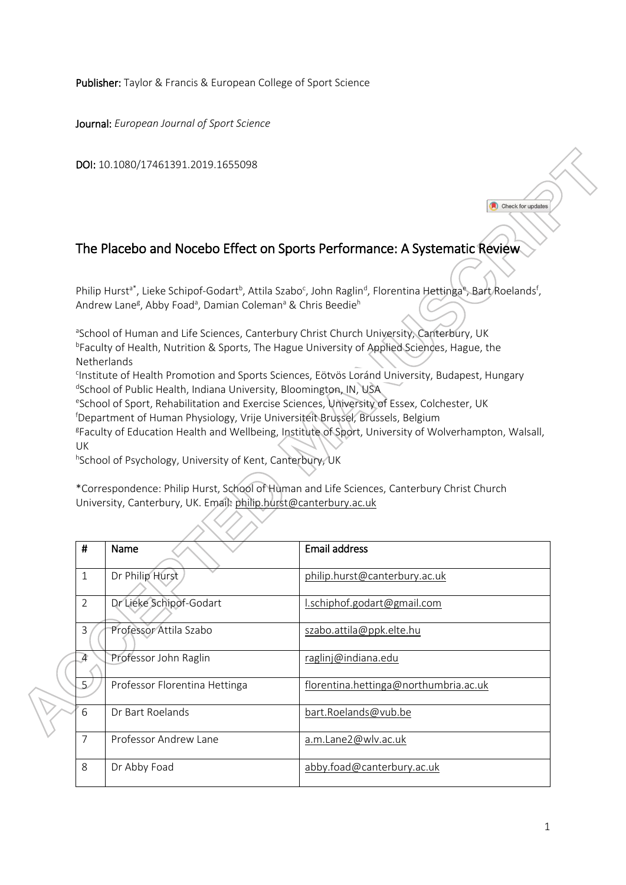Publisher: Taylor & Francis & European College of Sport Science

Journal: *European Journal of Sport Science* 

DOI: 10.1080/17461391.2019.1655098

# The Placebo and Nocebo Effect on Sports Performance: A Systematic Review

Philip Hurst<sup>a\*</sup>, Lieke Schipof-Godart<sup>b</sup>, Attila Szabo<sup>c</sup>, John Raglin<sup>d</sup>, Florentina Hettinga<sup>e</sup>, Bart Roelands<sup>f</sup>, Andrew Lane<sup>g</sup>, Abby Foad<sup>a</sup>, Damian Coleman<sup>a</sup> & Chris Beedie<sup>h</sup>

aSchool of Human and Life Sciences, Canterbury Christ Church University, Canterbury, UK <sup>b</sup>Faculty of Health, Nutrition & Sports, The Hague University of Applied Sciences, Hague, the Netherlands

c Institute of Health Promotion and Sports Sciences, Eötvös Loránd University, Budapest, Hungary dSchool of Public Health, Indiana University, Bloomington, IN, USA

e School of Sport, Rehabilitation and Exercise Sciences, University of Essex, Colchester, UK <sup>f</sup>Department of Human Physiology, Vrije Universiteit Brussel, Brussels, Belgium

<sup>g</sup>Faculty of Education Health and Wellbeing, Institute of Sport, University of Wolverhampton, Walsall, UK

hSchool of Psychology, University of Kent, Canterbury, UK

\*Correspondence: Philip Hurst, School of Human and Life Sciences, Canterbury Christ Church University, Canterbury, UK. Email[: philip.hurst@canterbury.ac.uk](mailto:philip.hurst@canterbury.ac.uk) 

| #              | Name                          | Email address                         |
|----------------|-------------------------------|---------------------------------------|
| $\mathbf{1}$   | Dr Philip Hurst               | philip.hurst@canterbury.ac.uk         |
| 2              | Dr Lieke Schipof-Godart       | l.schiphof.godart@gmail.com           |
| 3              | Professor Attila Szabo        | szabo.attila@ppk.elte.hu              |
| 4              | Professor John Raglin         | raglinj@indiana.edu                   |
| 5              | Professor Florentina Hettinga | florentina.hettinga@northumbria.ac.uk |
| 6              | Dr Bart Roelands              | bart.Roelands@vub.be                  |
| $\overline{7}$ | Professor Andrew Lane         | a.m.Lane2@wlv.ac.uk                   |
| 8              | Dr Abby Foad                  | abby.foad@canterbury.ac.uk            |

ļ

Check for update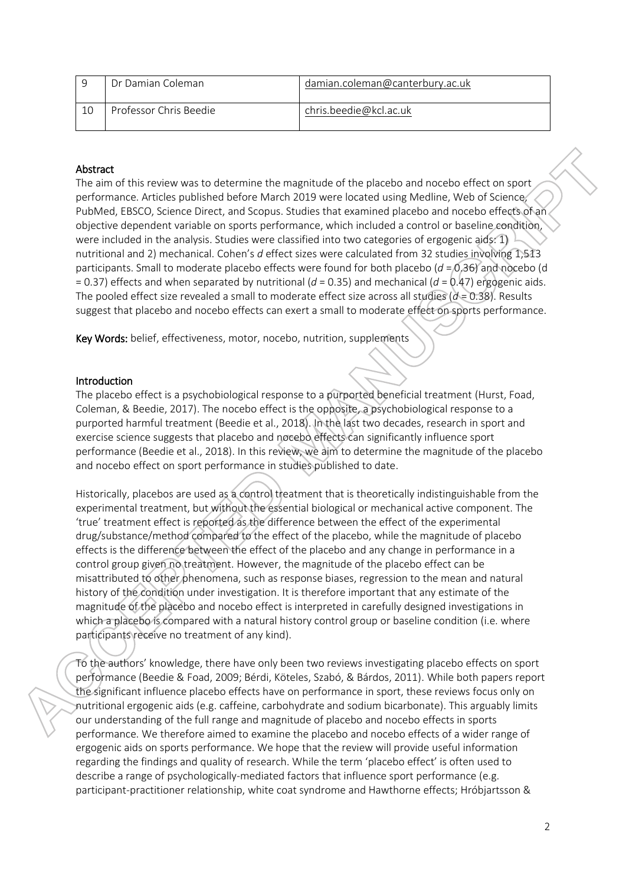| Dr Damian Coleman      | damian.coleman@canterbury.ac.uk |
|------------------------|---------------------------------|
| Professor Chris Beedie | chris.beedie@kcl.ac.uk          |

### Abstract

The aim of this review was to determine the magnitude of the placebo and nocebo effect on sport performance. Articles published before March 2019 were located using Medline, Web of Science, PubMed, EBSCO, Science Direct, and Scopus. Studies that examined placebo and nocebo effects of an objective dependent variable on sports performance, which included a control or baseline condition, were included in the analysis. Studies were classified into two categories of ergogenic aids: 1) nutritional and 2) mechanical. Cohen's *d* effect sizes were calculated from 32 studies involving 1,513 participants. Small to moderate placebo effects were found for both placebo (*d* = 0.36) and nocebo (d = 0.37) effects and when separated by nutritional (*d* = 0.35) and mechanical (*d* = 0.47) ergogenic aids. The pooled effect size revealed a small to moderate effect size across all studies (*d* = 0.38). Results suggest that placebo and nocebo effects can exert a small to moderate effect on sports performance.

Key Words: belief, effectiveness, motor, nocebo, nutrition, supplements

### Introduction

The placebo effect is a psychobiological response to a purported beneficial treatment (Hurst, Foad, Coleman, & Beedie, 2017). The nocebo effect is the opposite, a psychobiological response to a purported harmful treatment (Beedie et al., 2018). In the last two decades, research in sport and exercise science suggests that placebo and nocebo effects can significantly influence sport performance (Beedie et al., 2018). In this review, we aim to determine the magnitude of the placebo and nocebo effect on sport performance in studies published to date.

Historically, placebos are used as a control treatment that is theoretically indistinguishable from the experimental treatment, but without the essential biological or mechanical active component. The 'true' treatment effect is reported as the difference between the effect of the experimental drug/substance/method compared to the effect of the placebo, while the magnitude of placebo effects is the difference between the effect of the placebo and any change in performance in a control group given no treatment. However, the magnitude of the placebo effect can be misattributed to other phenomena, such as response biases, regression to the mean and natural history of the condition under investigation. It is therefore important that any estimate of the magnitude of the placebo and nocebo effect is interpreted in carefully designed investigations in which a placebo is compared with a natural history control group or baseline condition (i.e. where participants receive no treatment of any kind).

To the authors' knowledge, there have only been two reviews investigating placebo effects on sport performance (Beedie & Foad, 2009; Bérdi, Köteles, Szabó, & Bárdos, 2011). While both papers report the significant influence placebo effects have on performance in sport, these reviews focus only on nutritional ergogenic aids (e.g. caffeine, carbohydrate and sodium bicarbonate). This arguably limits our understanding of the full range and magnitude of placebo and nocebo effects in sports performance. We therefore aimed to examine the placebo and nocebo effects of a wider range of ergogenic aids on sports performance. We hope that the review will provide useful information regarding the findings and quality of research. While the term 'placebo effect' is often used to describe a range of psychologically-mediated factors that influence sport performance (e.g. participant-practitioner relationship, white coat syndrome and Hawthorne effects; Hróbjartsson &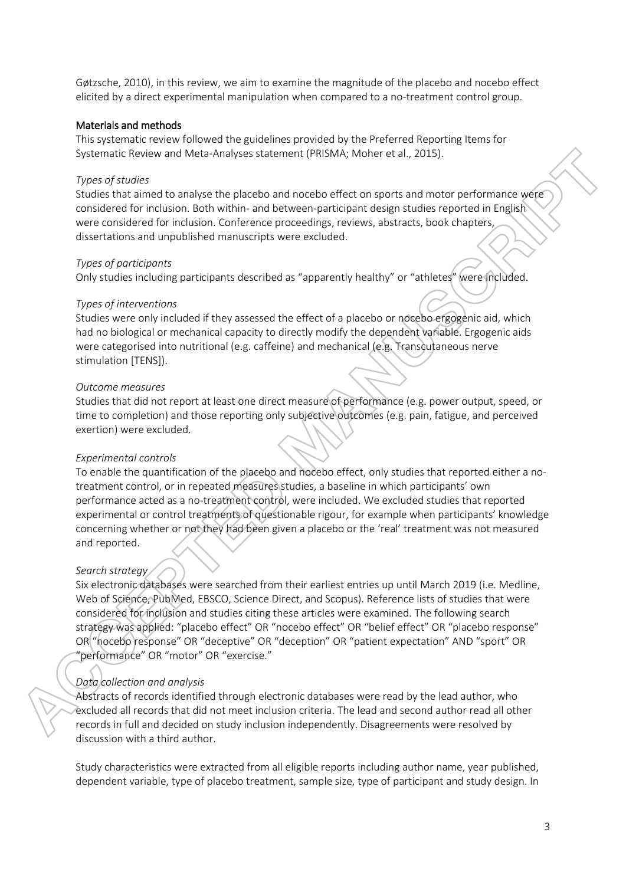Gøtzsche, 2010), in this review, we aim to examine the magnitude of the placebo and nocebo effect elicited by a direct experimental manipulation when compared to a no-treatment control group.

### Materials and methods

This systematic review followed the guidelines provided by the Preferred Reporting Items for Systematic Review and Meta-Analyses statement (PRISMA; Moher et al., 2015).

### *Types of studies*

Studies that aimed to analyse the placebo and nocebo effect on sports and motor performance were considered for inclusion. Both within- and between-participant design studies reported in English were considered for inclusion. Conference proceedings, reviews, abstracts, book chapters, dissertations and unpublished manuscripts were excluded.

### *Types of participants*

Only studies including participants described as "apparently healthy" or "athletes" were included.

### *Types of interventions*

Studies were only included if they assessed the effect of a placebo or nocebo ergogenic aid, which had no biological or mechanical capacity to directly modify the dependent variable. Ergogenic aids were categorised into nutritional (e.g. caffeine) and mechanical (e.g. Transcutaneous nerve stimulation [TENS]).

#### *Outcome measures*

Studies that did not report at least one direct measure of performance (e.g. power output, speed, or time to completion) and those reporting only subjective outcomes (e.g. pain, fatigue, and perceived exertion) were excluded.

### *Experimental controls*

To enable the quantification of the placebo and nocebo effect, only studies that reported either a notreatment control, or in repeated measures studies, a baseline in which participants' own performance acted as a no-treatment control, were included. We excluded studies that reported experimental or control treatments of questionable rigour, for example when participants' knowledge concerning whether or not they had been given a placebo or the 'real' treatment was not measured and reported.

### *Search strategy*

Six electronic databases were searched from their earliest entries up until March 2019 (i.e. Medline, Web of Science, PubMed, EBSCO, Science Direct, and Scopus). Reference lists of studies that were considered for inclusion and studies citing these articles were examined. The following search strategy was applied: "placebo effect" OR "nocebo effect" OR "belief effect" OR "placebo response" OR "nocebo response" OR "deceptive" OR "deception" OR "patient expectation" AND "sport" OR "performance" OR "motor" OR "exercise."

### *Data collection and analysis*

Abstracts of records identified through electronic databases were read by the lead author, who excluded all records that did not meet inclusion criteria. The lead and second author read all other records in full and decided on study inclusion independently. Disagreements were resolved by discussion with a third author.

Study characteristics were extracted from all eligible reports including author name, year published, dependent variable, type of placebo treatment, sample size, type of participant and study design. In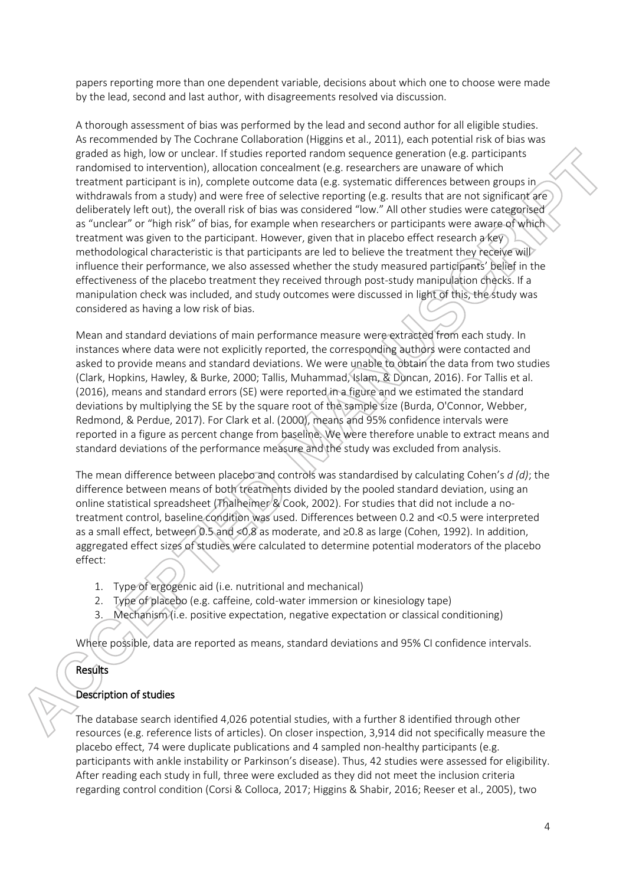papers reporting more than one dependent variable, decisions about which one to choose were made by the lead, second and last author, with disagreements resolved via discussion.

A thorough assessment of bias was performed by the lead and second author for all eligible studies. As recommended by The Cochrane Collaboration (Higgins et al., 2011), each potential risk of bias was graded as high, low or unclear. If studies reported random sequence generation (e.g. participants randomised to intervention), allocation concealment (e.g. researchers are unaware of which treatment participant is in), complete outcome data (e.g. systematic differences between groups in withdrawals from a study) and were free of selective reporting (e.g. results that are not significant are deliberately left out), the overall risk of bias was considered "low." All other studies were categorised as "unclear" or "high risk" of bias, for example when researchers or participants were aware of which treatment was given to the participant. However, given that in placebo effect research a key methodological characteristic is that participants are led to believe the treatment they receive will influence their performance, we also assessed whether the study measured participants' belief in the effectiveness of the placebo treatment they received through post-study manipulation checks. If a manipulation check was included, and study outcomes were discussed in light of this, the study was considered as having a low risk of bias.

Mean and standard deviations of main performance measure were extracted from each study. In instances where data were not explicitly reported, the corresponding authors were contacted and asked to provide means and standard deviations. We were unable to obtain the data from two studies (Clark, Hopkins, Hawley, & Burke, 2000; Tallis, Muhammad, Islam, & Duncan, 2016). For Tallis et al. (2016), means and standard errors (SE) were reported in a figure and we estimated the standard deviations by multiplying the SE by the square root of the sample size (Burda, O'Connor, Webber, Redmond, & Perdue, 2017). For Clark et al. (2000), means and 95% confidence intervals were reported in a figure as percent change from baseline. We were therefore unable to extract means and standard deviations of the performance measure and the study was excluded from analysis.

The mean difference between placebo and controls was standardised by calculating Cohen's *d (d)*; the difference between means of both treatments divided by the pooled standard deviation, using an online statistical spreadsheet (Thalheimer & Cook, 2002). For studies that did not include a notreatment control, baseline condition was used. Differences between 0.2 and <0.5 were interpreted as a small effect, between 0.5 and <0.8 as moderate, and ≥0.8 as large (Cohen, 1992). In addition, aggregated effect sizes of studies were calculated to determine potential moderators of the placebo effect:

- 1. Type of ergogenic aid (i.e. nutritional and mechanical)
- 2. Type of placebo (e.g. caffeine, cold-water immersion or kinesiology tape)
- 3. Mechanism (i.e. positive expectation, negative expectation or classical conditioning)

Where possible, data are reported as means, standard deviations and 95% CI confidence intervals.

# **Results**

# Description of studies

The database search identified 4,026 potential studies, with a further 8 identified through other resources (e.g. reference lists of articles). On closer inspection, 3,914 did not specifically measure the placebo effect, 74 were duplicate publications and 4 sampled non-healthy participants (e.g. participants with ankle instability or Parkinson's disease). Thus, 42 studies were assessed for eligibility. After reading each study in full, three were excluded as they did not meet the inclusion criteria regarding control condition (Corsi & Colloca, 2017; Higgins & Shabir, 2016; Reeser et al., 2005), two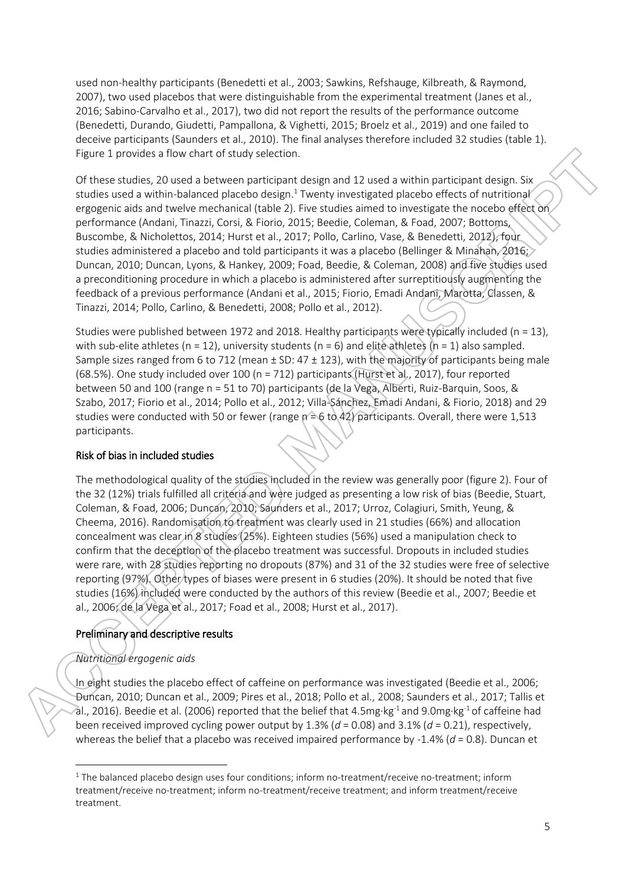used non-healthy participants (Benedetti et al., 2003; Sawkins, Refshauge, Kilbreath, & Raymond, 2007), two used placebos that were distinguishable from the experimental treatment (Janes et al., 2016; Sabino-Carvalho et al., 2017), two did not report the results of the performance outcome (Benedetti, Durando, Giudetti, Pampallona, & Vighetti, 2015; Broelz et al., 2019) and one failed to deceive participants (Saunders et al., 2010). The final analyses therefore included 32 studies (table 1). Figure 1 provides a flow chart of study selection.

Of these studies, 20 used a between participant design and 12 used a within participant design. Six studies used a within-balanced placebo design.<sup>1</sup> Twenty investigated placebo effects of nutritional ergogenic aids and twelve mechanical (table 2). Five studies aimed to investigate the nocebo effect on performance (Andani, Tinazzi, Corsi, & Fiorio, 2015; Beedie, Coleman, & Foad, 2007; Bottoms, Buscombe, & Nicholettos, 2014; Hurst et al., 2017; Pollo, Carlino, Vase, & Benedetti, 2012), four studies administered a placebo and told participants it was a placebo (Bellinger & Minahan, 2016; Duncan, 2010; Duncan, Lyons, & Hankey, 2009; Foad, Beedie, & Coleman, 2008) and five studies used a preconditioning procedure in which a placebo is administered after surreptitiously augmenting the feedback of a previous performance (Andani et al., 2015; Fiorio, Emadi Andani, Marotta, Classen, & Tinazzi, 2014; Pollo, Carlino, & Benedetti, 2008; Pollo et al., 2012).

Studies were published between 1972 and 2018. Healthy participants were typically included ( $n = 13$ ), with sub-elite athletes (n = 12), university students (n = 6) and elite athletes (n = 1) also sampled. Sample sizes ranged from 6 to 712 (mean  $\pm$  SD: 47  $\pm$  123), with the majority of participants being male (68.5%). One study included over 100 (n = 712) participants (Hurst et al., 2017), four reported between 50 and 100 (range n = 51 to 70) participants (de la Vega, Alberti, Ruiz-Barquin, Soos, & Szabo, 2017; Fiorio et al., 2014; Pollo et al., 2012; Villa‐Sánchez, Emadi Andani, & Fiorio, 2018) and 29 studies were conducted with 50 or fewer (range  $n = 6$  to 42) participants. Overall, there were 1,513 participants.

# Risk of bias in included studies

The methodological quality of the studies included in the review was generally poor (figure 2). Four of the 32 (12%) trials fulfilled all criteria and were judged as presenting a low risk of bias (Beedie, Stuart, Coleman, & Foad, 2006; Duncan, 2010; Saunders et al., 2017; Urroz, Colagiuri, Smith, Yeung, & Cheema, 2016). Randomisation to treatment was clearly used in 21 studies (66%) and allocation concealment was clear in 8 studies (25%). Eighteen studies (56%) used a manipulation check to confirm that the deception of the placebo treatment was successful. Dropouts in included studies were rare, with 28 studies reporting no dropouts (87%) and 31 of the 32 studies were free of selective reporting (97%). Other types of biases were present in 6 studies (20%). It should be noted that five studies (16%) included were conducted by the authors of this review (Beedie et al., 2007; Beedie et al., 2006; de la Vega et al., 2017; Foad et al., 2008; Hurst et al., 2017).

# Preliminary and descriptive results

# *Nutritional ergogenic aids*

**.** 

In eight studies the placebo effect of caffeine on performance was investigated (Beedie et al., 2006; Duncan, 2010; Duncan et al., 2009; Pires et al., 2018; Pollo et al., 2008; Saunders et al., 2017; Tallis et al., 2016). Beedie et al. (2006) reported that the belief that 4.5mg·kg<sup>-1</sup> and 9.0mg·kg<sup>-1</sup> of caffeine had been received improved cycling power output by 1.3% (*d* = 0.08) and 3.1% (*d* = 0.21), respectively, whereas the belief that a placebo was received impaired performance by -1.4% (*d* = 0.8). Duncan et

 $1$  The balanced placebo design uses four conditions; inform no-treatment/receive no-treatment; inform treatment/receive no-treatment; inform no-treatment/receive treatment; and inform treatment/receive treatment.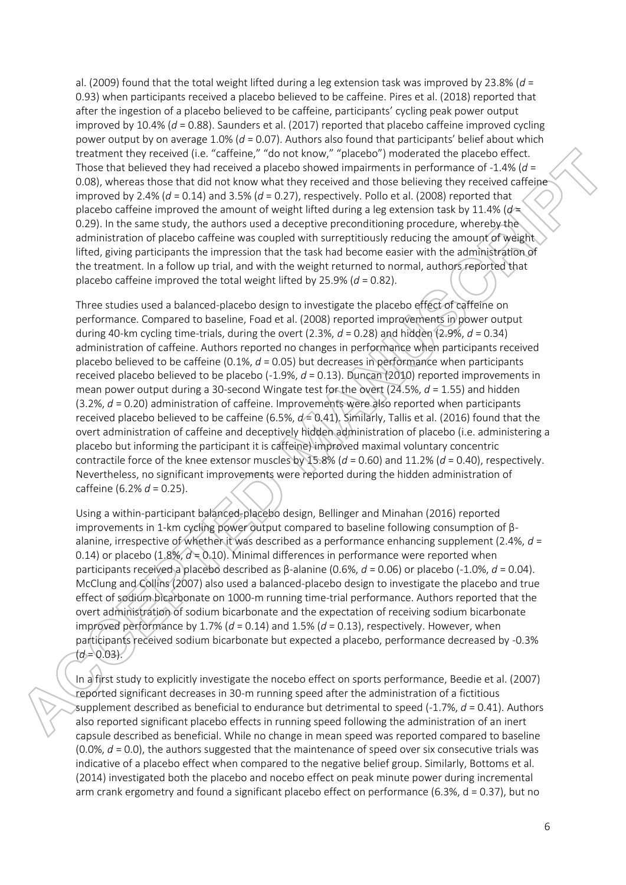al. (2009) found that the total weight lifted during a leg extension task was improved by 23.8% (*d* = 0.93) when participants received a placebo believed to be caffeine. Pires et al. (2018) reported that after the ingestion of a placebo believed to be caffeine, participants' cycling peak power output improved by 10.4% (*d* = 0.88). Saunders et al. (2017) reported that placebo caffeine improved cycling power output by on average 1.0% (*d* = 0.07). Authors also found that participants' belief about which treatment they received (i.e. "caffeine," "do not know," "placebo") moderated the placebo effect. Those that believed they had received a placebo showed impairments in performance of -1.4% (*d* = 0.08), whereas those that did not know what they received and those believing they received caffeine improved by 2.4% (*d* = 0.14) and 3.5% (*d* = 0.27), respectively. Pollo et al. (2008) reported that placebo caffeine improved the amount of weight lifted during a leg extension task by 11.4% (*d* = 0.29). In the same study, the authors used a deceptive preconditioning procedure, whereby the administration of placebo caffeine was coupled with surreptitiously reducing the amount of weight lifted, giving participants the impression that the task had become easier with the administration of the treatment. In a follow up trial, and with the weight returned to normal, authors reported that placebo caffeine improved the total weight lifted by 25.9% (*d* = 0.82).

Three studies used a balanced-placebo design to investigate the placebo effect of caffeine on performance. Compared to baseline, Foad et al. (2008) reported improvements in power output during 40-km cycling time-trials, during the overt (2.3%,  $d = 0.28$ ) and hidden (2.9%,  $d = 0.34$ ) administration of caffeine. Authors reported no changes in performance when participants received placebo believed to be caffeine (0.1%, *d* = 0.05) but decreases in performance when participants received placebo believed to be placebo (-1.9%, *d* = 0.13). Duncan (2010) reported improvements in mean power output during a 30-second Wingate test for the overt (24.5%, *d* = 1.55) and hidden (3.2%, *d* = 0.20) administration of caffeine. Improvements were also reported when participants received placebo believed to be caffeine (6.5%,  $d = 0.41$ ). Similarly, Tallis et al. (2016) found that the overt administration of caffeine and deceptively hidden administration of placebo (i.e. administering a placebo but informing the participant it is caffeine) improved maximal voluntary concentric contractile force of the knee extensor muscles by 15.8% (*d* = 0.60) and 11.2% (*d* = 0.40), respectively. Nevertheless, no significant improvements were reported during the hidden administration of caffeine (6.2% *d* = 0.25).

Using a within-participant balanced-placebo design, Bellinger and Minahan (2016) reported improvements in 1-km cycling power output compared to baseline following consumption of βalanine, irrespective of whether it was described as a performance enhancing supplement (2.4%, *d* = 0.14) or placebo (1.8%, *d* = 0.10). Minimal differences in performance were reported when participants received a placebo described as β-alanine (0.6%, *d* = 0.06) or placebo (-1.0%, *d* = 0.04). McClung and Collins (2007) also used a balanced-placebo design to investigate the placebo and true effect of sodium bicarbonate on 1000-m running time-trial performance. Authors reported that the overt administration of sodium bicarbonate and the expectation of receiving sodium bicarbonate improved performance by 1.7% (*d* = 0.14) and 1.5% (*d* = 0.13), respectively. However, when participants received sodium bicarbonate but expected a placebo, performance decreased by -0.3%  $(d = 0.03)$ .

In a first study to explicitly investigate the nocebo effect on sports performance, Beedie et al. (2007) reported significant decreases in 30-m running speed after the administration of a fictitious supplement described as beneficial to endurance but detrimental to speed (-1.7%, *d* = 0.41). Authors also reported significant placebo effects in running speed following the administration of an inert capsule described as beneficial. While no change in mean speed was reported compared to baseline (0.0%, *d* = 0.0), the authors suggested that the maintenance of speed over six consecutive trials was indicative of a placebo effect when compared to the negative belief group. Similarly, Bottoms et al. (2014) investigated both the placebo and nocebo effect on peak minute power during incremental arm crank ergometry and found a significant placebo effect on performance (6.3%, d = 0.37), but no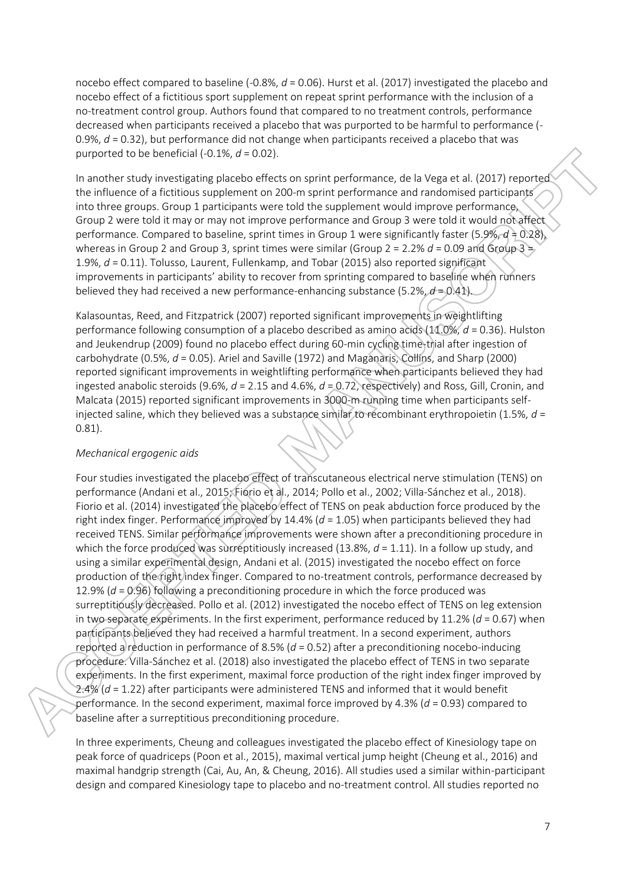nocebo effect compared to baseline (-0.8%, *d* = 0.06). Hurst et al. (2017) investigated the placebo and nocebo effect of a fictitious sport supplement on repeat sprint performance with the inclusion of a no-treatment control group. Authors found that compared to no treatment controls, performance decreased when participants received a placebo that was purported to be harmful to performance (- 0.9%,  $d = 0.32$ ), but performance did not change when participants received a placebo that was purported to be beneficial  $(-0.1\% , d = 0.02)$ .

In another study investigating placebo effects on sprint performance, de la Vega et al. (2017) reported the influence of a fictitious supplement on 200-m sprint performance and randomised participants into three groups. Group 1 participants were told the supplement would improve performance, Group 2 were told it may or may not improve performance and Group 3 were told it would not affect performance. Compared to baseline, sprint times in Group 1 were significantly faster (5.9%,  $d = 0.28$ ), whereas in Group 2 and Group 3, sprint times were similar (Group  $2 = 2.2\%$   $d = 0.09$  and Group  $3 =$ 1.9%, *d* = 0.11). Tolusso, Laurent, Fullenkamp, and Tobar (2015) also reported significant improvements in participants' ability to recover from sprinting compared to baseline when runners believed they had received a new performance-enhancing substance (5.2%, *d* = 0.41).

Kalasountas, Reed, and Fitzpatrick (2007) reported significant improvements in weightlifting performance following consumption of a placebo described as amino acids (11.0%, *d* = 0.36). Hulston and Jeukendrup (2009) found no placebo effect during 60-min cycling time-trial after ingestion of carbohydrate (0.5%, *d* = 0.05). Ariel and Saville (1972) and Maganaris, Collins, and Sharp (2000) reported significant improvements in weightlifting performance when participants believed they had ingested anabolic steroids (9.6%, *d* = 2.15 and 4.6%, *d* = 0.72, respectively) and Ross, Gill, Cronin, and Malcata (2015) reported significant improvements in 3000-m running time when participants selfinjected saline, which they believed was a substance similar to recombinant erythropoietin (1.5%, *d* = 0.81).

### *Mechanical ergogenic aids*

Four studies investigated the placebo effect of transcutaneous electrical nerve stimulation (TENS) on performance (Andani et al., 2015; Fiorio et al., 2014; Pollo et al., 2002; Villa‐Sánchez et al., 2018). Fiorio et al. (2014) investigated the placebo effect of TENS on peak abduction force produced by the right index finger. Performance improved by 14.4% (*d* = 1.05) when participants believed they had received TENS. Similar performance improvements were shown after a preconditioning procedure in which the force produced was surreptitiously increased (13.8%,  $d = 1.11$ ). In a follow up study, and using a similar experimental design, Andani et al. (2015) investigated the nocebo effect on force production of the right index finger. Compared to no-treatment controls, performance decreased by 12.9% (*d* = 0.96) following a preconditioning procedure in which the force produced was surreptitiously decreased. Pollo et al. (2012) investigated the nocebo effect of TENS on leg extension in two separate experiments. In the first experiment, performance reduced by 11.2% (*d* = 0.67) when participants believed they had received a harmful treatment. In a second experiment, authors reported a reduction in performance of 8.5% (*d* = 0.52) after a preconditioning nocebo-inducing procedure. Villa‐Sánchez et al. (2018) also investigated the placebo effect of TENS in two separate experiments. In the first experiment, maximal force production of the right index finger improved by 2.4% (*d* = 1.22) after participants were administered TENS and informed that it would benefit performance. In the second experiment, maximal force improved by 4.3% (*d* = 0.93) compared to baseline after a surreptitious preconditioning procedure.

In three experiments, Cheung and colleagues investigated the placebo effect of Kinesiology tape on peak force of quadriceps (Poon et al., 2015), maximal vertical jump height (Cheung et al., 2016) and maximal handgrip strength (Cai, Au, An, & Cheung, 2016). All studies used a similar within-participant design and compared Kinesiology tape to placebo and no-treatment control. All studies reported no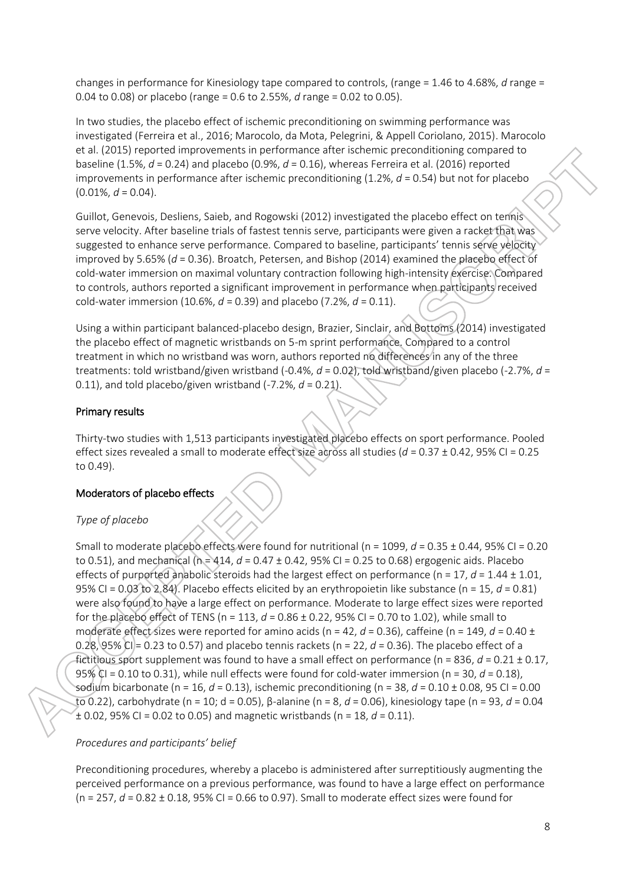changes in performance for Kinesiology tape compared to controls, (range = 1.46 to 4.68%, *d* range = 0.04 to 0.08) or placebo (range = 0.6 to 2.55%, *d* range = 0.02 to 0.05).

In two studies, the placebo effect of ischemic preconditioning on swimming performance was investigated (Ferreira et al., 2016; Marocolo, da Mota, Pelegrini, & Appell Coriolano, 2015). Marocolo et al. (2015) reported improvements in performance after ischemic preconditioning compared to baseline (1.5%, *d* = 0.24) and placebo (0.9%, *d* = 0.16), whereas Ferreira et al. (2016) reported improvements in performance after ischemic preconditioning (1.2%, *d* = 0.54) but not for placebo  $(0.01\%, d = 0.04)$ .

Guillot, Genevois, Desliens, Saieb, and Rogowski (2012) investigated the placebo effect on tennis serve velocity. After baseline trials of fastest tennis serve, participants were given a racket that was suggested to enhance serve performance. Compared to baseline, participants' tennis serve velocity improved by 5.65% ( $d$  = 0.36). Broatch, Petersen, and Bishop (2014) examined the placebo effect of cold-water immersion on maximal voluntary contraction following high-intensity exercise. Compared to controls, authors reported a significant improvement in performance when participants received cold-water immersion (10.6%, *d* = 0.39) and placebo (7.2%, *d* = 0.11).

Using a within participant balanced-placebo design, Brazier, Sinclair, and Bottoms (2014) investigated the placebo effect of magnetic wristbands on 5-m sprint performance. Compared to a control treatment in which no wristband was worn, authors reported no differences in any of the three treatments: told wristband/given wristband (-0.4%, *d* = 0.02), told wristband/given placebo (-2.7%, *d* = 0.11), and told placebo/given wristband (-7.2%, *d* = 0.21).

### Primary results

Thirty-two studies with 1,513 participants investigated placebo effects on sport performance. Pooled effect sizes revealed a small to moderate effect size across all studies (*d* = 0.37 ± 0.42, 95% CI = 0.25 to 0.49).

### Moderators of placebo effects

# *Type of placebo*

Small to moderate placebo effects were found for nutritional (n = 1099, *d* = 0.35 ± 0.44, 95% CI = 0.20 to 0.51), and mechanical (n = 414, *d* = 0.47 ± 0.42, 95% CI = 0.25 to 0.68) ergogenic aids. Placebo effects of purported anabolic steroids had the largest effect on performance (n = 17,  $d = 1.44 \pm 1.01$ , 95% CI = 0.03 to 2.84). Placebo effects elicited by an erythropoietin like substance (n = 15,  $d$  = 0.81) were also found to have a large effect on performance. Moderate to large effect sizes were reported for the placebo effect of TENS (n = 113, *d* = 0.86 ± 0.22, 95% CI = 0.70 to 1.02), while small to moderate effect sizes were reported for amino acids (n = 42, *d* = 0.36), caffeine (n = 149, *d* = 0.40 ± 0.28, 95% CI = 0.23 to 0.57) and placebo tennis rackets (n = 22,  $d$  = 0.36). The placebo effect of a fictitious sport supplement was found to have a small effect on performance (n = 836, *d* = 0.21 ± 0.17, 95% CI = 0.10 to 0.31), while null effects were found for cold-water immersion (n = 30, *d* = 0.18), sodium bicarbonate (n = 16, *d* = 0.13), ischemic preconditioning (n = 38, *d* = 0.10 ± 0.08, 95 CI = 0.00 to 0.22), carbohydrate (n = 10; d = 0.05), β-alanine (n = 8, *d* = 0.06), kinesiology tape (n = 93, *d* = 0.04  $\pm$  0.02, 95% CI = 0.02 to 0.05) and magnetic wristbands (n = 18,  $d$  = 0.11).

### *Procedures and participants' belief*

Preconditioning procedures, whereby a placebo is administered after surreptitiously augmenting the perceived performance on a previous performance, was found to have a large effect on performance (n = 257, *d* = 0.82 ± 0.18, 95% CI = 0.66 to 0.97). Small to moderate effect sizes were found for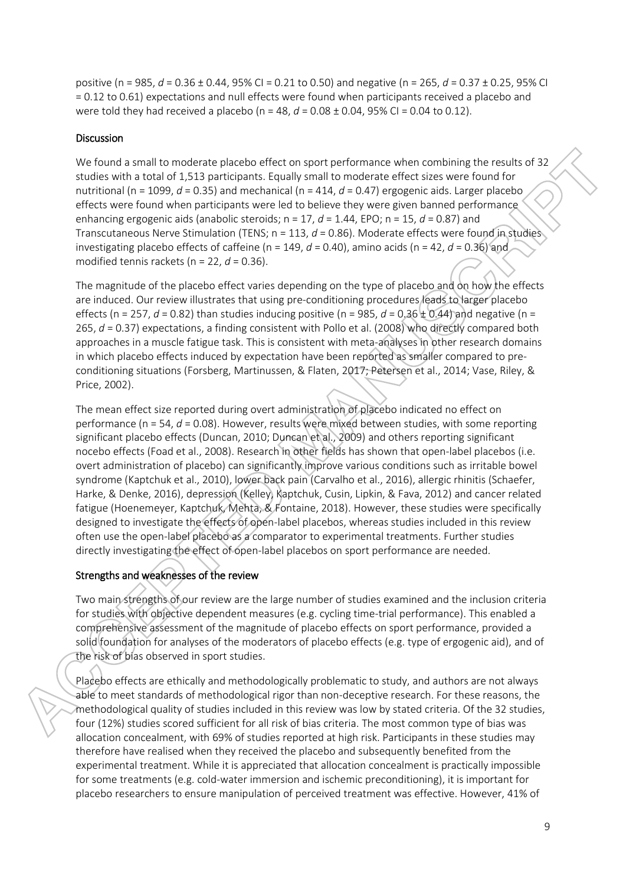positive (n = 985, *d* = 0.36 ± 0.44, 95% CI = 0.21 to 0.50) and negative (n = 265, *d* = 0.37 ± 0.25, 95% CI = 0.12 to 0.61) expectations and null effects were found when participants received a placebo and were told they had received a placebo ( $n = 48$ ,  $d = 0.08 \pm 0.04$ , 95% CI = 0.04 to 0.12).

### **Discussion**

We found a small to moderate placebo effect on sport performance when combining the results of 32 studies with a total of 1,513 participants. Equally small to moderate effect sizes were found for nutritional (n = 1099, *d* = 0.35) and mechanical (n = 414, *d* = 0.47) ergogenic aids. Larger placebo effects were found when participants were led to believe they were given banned performance enhancing ergogenic aids (anabolic steroids; n = 17, *d* = 1.44, EPO; n = 15, *d* = 0.87) and Transcutaneous Nerve Stimulation (TENS; n = 113, *d* = 0.86). Moderate effects were found in studies investigating placebo effects of caffeine (n = 149, *d* = 0.40), amino acids (n = 42, *d* = 0.36) and modified tennis rackets (n = 22, *d* = 0.36).

The magnitude of the placebo effect varies depending on the type of placebo and on how the effects are induced. Our review illustrates that using pre-conditioning procedures leads to larger placebo effects (n = 257, *d* = 0.82) than studies inducing positive (n = 985, *d* = 0.36 ± 0.44) and negative (n = 265, *d* = 0.37) expectations, a finding consistent with Pollo et al. (2008) who directly compared both approaches in a muscle fatigue task. This is consistent with meta-analyses in other research domains in which placebo effects induced by expectation have been reported as smaller compared to preconditioning situations (Forsberg, Martinussen, & Flaten, 2017; Petersen et al., 2014; Vase, Riley, & Price, 2002).

The mean effect size reported during overt administration of placebo indicated no effect on performance (n = 54, *d* = 0.08). However, results were mixed between studies, with some reporting significant placebo effects (Duncan, 2010; Duncan et al., 2009) and others reporting significant nocebo effects (Foad et al., 2008). Research in other fields has shown that open-label placebos (i.e. overt administration of placebo) can significantly improve various conditions such as irritable bowel syndrome (Kaptchuk et al., 2010), lower back pain (Carvalho et al., 2016), allergic rhinitis (Schaefer, Harke, & Denke, 2016), depression (Kelley, Kaptchuk, Cusin, Lipkin, & Fava, 2012) and cancer related fatigue (Hoenemeyer, Kaptchuk, Mehta, & Fontaine, 2018). However, these studies were specifically designed to investigate the effects of open-label placebos, whereas studies included in this review often use the open-label placebo as a comparator to experimental treatments. Further studies directly investigating the effect of open-label placebos on sport performance are needed.

### Strengths and weaknesses of the review

Two main strengths of our review are the large number of studies examined and the inclusion criteria for studies with objective dependent measures (e.g. cycling time-trial performance). This enabled a comprehensive assessment of the magnitude of placebo effects on sport performance, provided a solid foundation for analyses of the moderators of placebo effects (e.g. type of ergogenic aid), and of the risk of bias observed in sport studies.

Placebo effects are ethically and methodologically problematic to study, and authors are not always able to meet standards of methodological rigor than non-deceptive research. For these reasons, the methodological quality of studies included in this review was low by stated criteria. Of the 32 studies, four (12%) studies scored sufficient for all risk of bias criteria. The most common type of bias was allocation concealment, with 69% of studies reported at high risk. Participants in these studies may therefore have realised when they received the placebo and subsequently benefited from the experimental treatment. While it is appreciated that allocation concealment is practically impossible for some treatments (e.g. cold-water immersion and ischemic preconditioning), it is important for placebo researchers to ensure manipulation of perceived treatment was effective. However, 41% of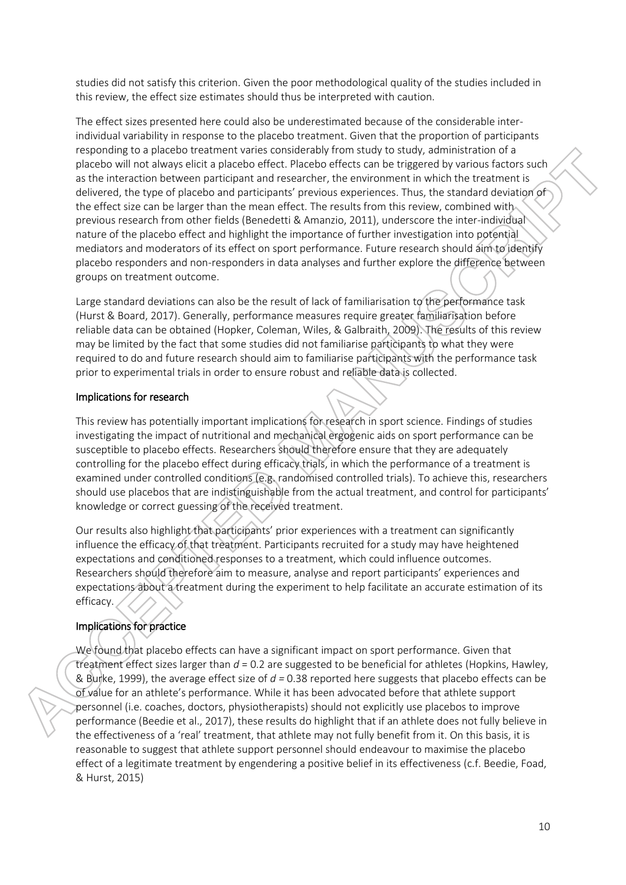studies did not satisfy this criterion. Given the poor methodological quality of the studies included in this review, the effect size estimates should thus be interpreted with caution.

The effect sizes presented here could also be underestimated because of the considerable interindividual variability in response to the placebo treatment. Given that the proportion of participants responding to a placebo treatment varies considerably from study to study, administration of a placebo will not always elicit a placebo effect. Placebo effects can be triggered by various factors such as the interaction between participant and researcher, the environment in which the treatment is delivered, the type of placebo and participants' previous experiences. Thus, the standard deviation of the effect size can be larger than the mean effect. The results from this review, combined with previous research from other fields (Benedetti & Amanzio, 2011), underscore the inter-individual nature of the placebo effect and highlight the importance of further investigation into potential mediators and moderators of its effect on sport performance. Future research should aim to identify placebo responders and non-responders in data analyses and further explore the difference between groups on treatment outcome.

Large standard deviations can also be the result of lack of familiarisation to the performance task (Hurst & Board, 2017). Generally, performance measures require greater familiarisation before reliable data can be obtained (Hopker, Coleman, Wiles, & Galbraith, 2009). The results of this review may be limited by the fact that some studies did not familiarise participants to what they were required to do and future research should aim to familiarise participants with the performance task prior to experimental trials in order to ensure robust and reliable data is collected.

### Implications for research

This review has potentially important implications for research in sport science. Findings of studies investigating the impact of nutritional and mechanical ergogenic aids on sport performance can be susceptible to placebo effects. Researchers should therefore ensure that they are adequately controlling for the placebo effect during efficacy trials, in which the performance of a treatment is examined under controlled conditions (e.g. randomised controlled trials). To achieve this, researchers should use placebos that are indistinguishable from the actual treatment, and control for participants' knowledge or correct guessing of the received treatment.

Our results also highlight that participants' prior experiences with a treatment can significantly influence the efficacy of that treatment. Participants recruited for a study may have heightened expectations and conditioned responses to a treatment, which could influence outcomes. Researchers should therefore aim to measure, analyse and report participants' experiences and expectations about a treatment during the experiment to help facilitate an accurate estimation of its efficacy.

# Implications for practice

We found that placebo effects can have a significant impact on sport performance. Given that treatment effect sizes larger than *d* = 0.2 are suggested to be beneficial for athletes (Hopkins, Hawley, & Burke, 1999), the average effect size of *d =* 0.38 reported here suggests that placebo effects can be of value for an athlete's performance. While it has been advocated before that athlete support personnel (i.e. coaches, doctors, physiotherapists) should not explicitly use placebos to improve performance (Beedie et al., 2017), these results do highlight that if an athlete does not fully believe in the effectiveness of a 'real' treatment, that athlete may not fully benefit from it. On this basis, it is reasonable to suggest that athlete support personnel should endeavour to maximise the placebo effect of a legitimate treatment by engendering a positive belief in its effectiveness (c.f. Beedie, Foad, & Hurst, 2015)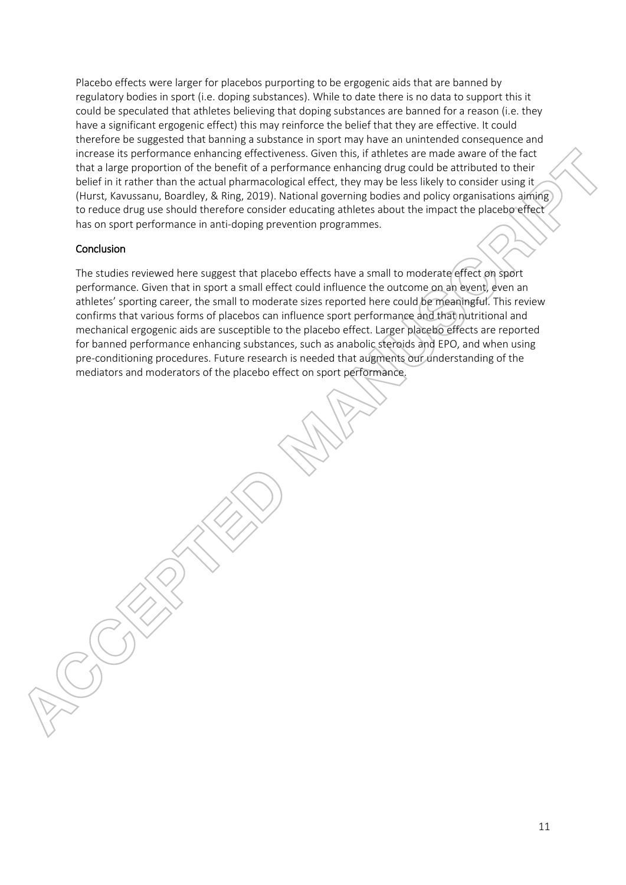Placebo effects were larger for placebos purporting to be ergogenic aids that are banned by regulatory bodies in sport (i.e. doping substances). While to date there is no data to support this it could be speculated that athletes believing that doping substances are banned for a reason (i.e. they have a significant ergogenic effect) this may reinforce the belief that they are effective. It could therefore be suggested that banning a substance in sport may have an unintended consequence and increase its performance enhancing effectiveness. Given this, if athletes are made aware of the fact that a large proportion of the benefit of a performance enhancing drug could be attributed to their belief in it rather than the actual pharmacological effect, they may be less likely to consider using it (Hurst, Kavussanu, Boardley, & Ring, 2019). National governing bodies and policy organisations aiming to reduce drug use should therefore consider educating athletes about the impact the placebo effect has on sport performance in anti-doping prevention programmes.

### **Conclusion**

The studies reviewed here suggest that placebo effects have a small to moderate effect on sport performance. Given that in sport a small effect could influence the outcome on an event, even an athletes' sporting career, the small to moderate sizes reported here could be meaningful. This review confirms that various forms of placebos can influence sport performance and that nutritional and mechanical ergogenic aids are susceptible to the placebo effect. Larger placebo effects are reported for banned performance enhancing substances, such as anabolic steroids and EPO, and when using pre-conditioning procedures. Future research is needed that augments our understanding of the mediators and moderators of the placebo effect on sport performance.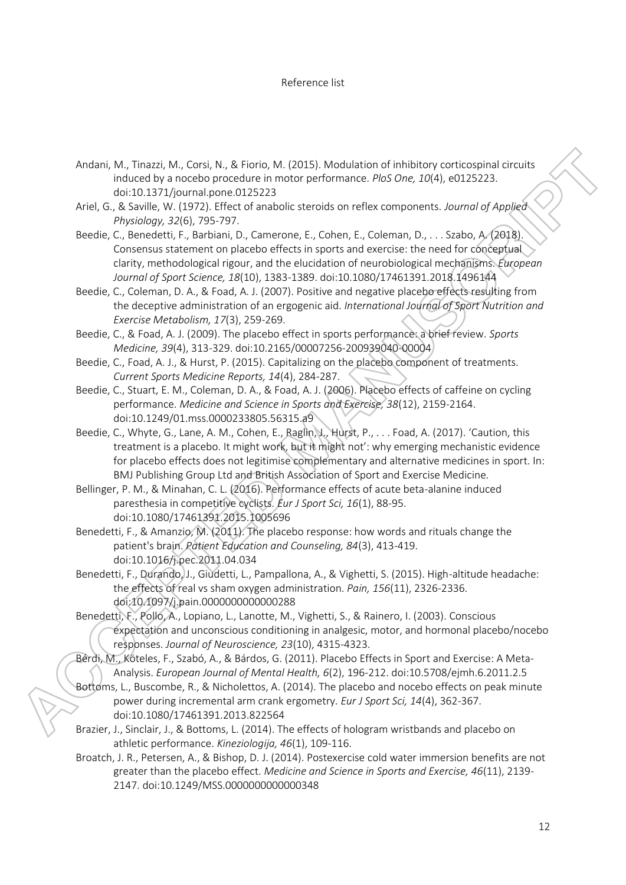#### Reference list

- Andani, M., Tinazzi, M., Corsi, N., & Fiorio, M. (2015). Modulation of inhibitory corticospinal circuits induced by a nocebo procedure in motor performance. *PloS One, 10*(4), e0125223. doi:10.1371/journal.pone.0125223
- Ariel, G., & Saville, W. (1972). Effect of anabolic steroids on reflex components. *Journal of Applied Physiology, 32*(6), 795-797.
- Beedie, C., Benedetti, F., Barbiani, D., Camerone, E., Cohen, E., Coleman, D., . . . Szabo, A. (2018). Consensus statement on placebo effects in sports and exercise: the need for conceptual clarity, methodological rigour, and the elucidation of neurobiological mechanisms. *European Journal of Sport Science, 18*(10), 1383-1389. doi:10.1080/17461391.2018.1496144
- Beedie, C., Coleman, D. A., & Foad, A. J. (2007). Positive and negative placebo effects resulting from the deceptive administration of an ergogenic aid. *International Journal of Sport Nutrition and Exercise Metabolism, 17*(3), 259-269.
- Beedie, C., & Foad, A. J. (2009). The placebo effect in sports performance: a brief review. *Sports Medicine, 39*(4), 313-329. doi:10.2165/00007256-200939040-00004
- Beedie, C., Foad, A. J., & Hurst, P. (2015). Capitalizing on the placebo component of treatments. *Current Sports Medicine Reports, 14*(4), 284-287.
- Beedie, C., Stuart, E. M., Coleman, D. A., & Foad, A. J. (2006). Placebo effects of caffeine on cycling performance. *Medicine and Science in Sports and Exercise, 38*(12), 2159-2164. doi:10.1249/01.mss.0000233805.56315.a9
- Beedie, C., Whyte, G., Lane, A. M., Cohen, E., Raglin, J., Hurst, P., . . . Foad, A. (2017). 'Caution, this treatment is a placebo. It might work, but it might not': why emerging mechanistic evidence for placebo effects does not legitimise complementary and alternative medicines in sport. In: BMJ Publishing Group Ltd and British Association of Sport and Exercise Medicine.
- Bellinger, P. M., & Minahan, C. L. (2016). Performance effects of acute beta-alanine induced paresthesia in competitive cyclists. *Eur J Sport Sci, 16*(1), 88-95. doi:10.1080/17461391.2015.1005696
- Benedetti, F., & Amanzio, M. (2011). The placebo response: how words and rituals change the patient's brain. *Patient Education and Counseling, 84*(3), 413-419. doi:10.1016/j.pec.2011.04.034
- Benedetti, F., Durando, J., Giudetti, L., Pampallona, A., & Vighetti, S. (2015). High-altitude headache: the effects of real vs sham oxygen administration. *Pain, 156*(11), 2326-2336. doi:10.1097/j.pain.0000000000000288
- Benedetti, F., Pollo, A., Lopiano, L., Lanotte, M., Vighetti, S., & Rainero, I. (2003). Conscious expectation and unconscious conditioning in analgesic, motor, and hormonal placebo/nocebo responses. *Journal of Neuroscience, 23*(10), 4315-4323.
- Bérdi, M., Köteles, F., Szabó, A., & Bárdos, G. (2011). Placebo Effects in Sport and Exercise: A Meta-Analysis. *European Journal of Mental Health, 6*(2), 196-212. doi:10.5708/ejmh.6.2011.2.5
- Bottoms, L., Buscombe, R., & Nicholettos, A. (2014). The placebo and nocebo effects on peak minute power during incremental arm crank ergometry. *Eur J Sport Sci, 14*(4), 362-367. doi:10.1080/17461391.2013.822564
- Brazier, J., Sinclair, J., & Bottoms, L. (2014). The effects of hologram wristbands and placebo on athletic performance. *Kineziologija, 46*(1), 109-116.
- Broatch, J. R., Petersen, A., & Bishop, D. J. (2014). Postexercise cold water immersion benefits are not greater than the placebo effect. *Medicine and Science in Sports and Exercise, 46*(11), 2139- 2147. doi:10.1249/MSS.0000000000000348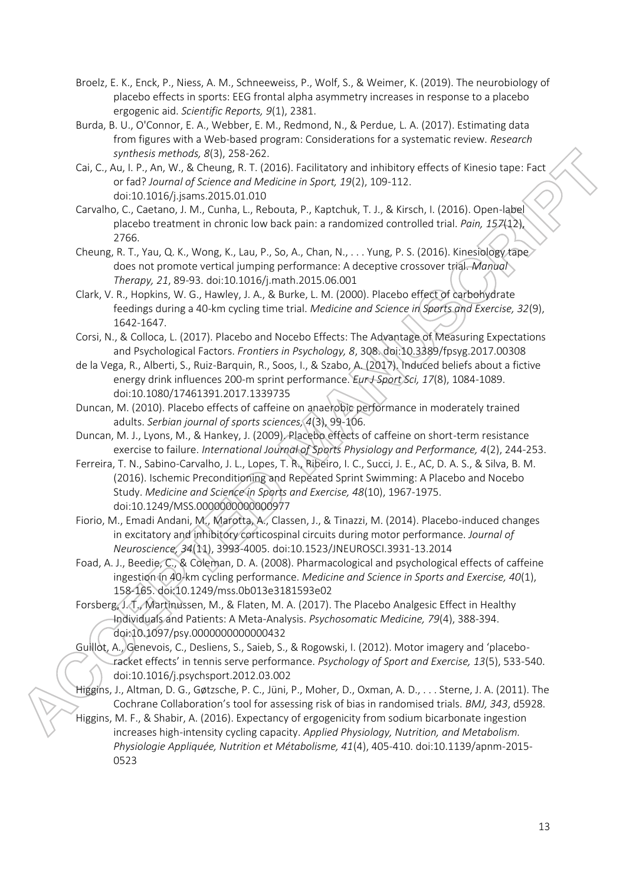- Broelz, E. K., Enck, P., Niess, A. M., Schneeweiss, P., Wolf, S., & Weimer, K. (2019). The neurobiology of placebo effects in sports: EEG frontal alpha asymmetry increases in response to a placebo ergogenic aid. *Scientific Reports, 9*(1), 2381.
- Burda, B. U., O'Connor, E. A., Webber, E. M., Redmond, N., & Perdue, L. A. (2017). Estimating data from figures with a Web‐based program: Considerations for a systematic review. *Research synthesis methods, 8*(3), 258-262.
- Cai, C., Au, I. P., An, W., & Cheung, R. T. (2016). Facilitatory and inhibitory effects of Kinesio tape: Fact or fad? *Journal of Science and Medicine in Sport, 19*(2), 109-112. doi:10.1016/j.jsams.2015.01.010
- Carvalho, C., Caetano, J. M., Cunha, L., Rebouta, P., Kaptchuk, T. J., & Kirsch, I. (2016). Open-label placebo treatment in chronic low back pain: a randomized controlled trial. *Pain, 157*(12), 2766.
- Cheung, R. T., Yau, Q. K., Wong, K., Lau, P., So, A., Chan, N., . . . Yung, P. S. (2016). Kinesiology tape does not promote vertical jumping performance: A deceptive crossover trial. *Manual Therapy, 21*, 89-93. doi:10.1016/j.math.2015.06.001
- Clark, V. R., Hopkins, W. G., Hawley, J. A., & Burke, L. M. (2000). Placebo effect of carbohydrate feedings during a 40-km cycling time trial. *Medicine and Science in Sports and Exercise, 32*(9), 1642-1647.
- Corsi, N., & Colloca, L. (2017). Placebo and Nocebo Effects: The Advantage of Measuring Expectations and Psychological Factors. *Frontiers in Psychology, 8*, 308. doi:10.3389/fpsyg.2017.00308
- de la Vega, R., Alberti, S., Ruiz-Barquin, R., Soos, I., & Szabo, A. (2017). Induced beliefs about a fictive energy drink influences 200-m sprint performance. *Eur J Sport Sci, 17*(8), 1084-1089. doi:10.1080/17461391.2017.1339735
- Duncan, M. (2010). Placebo effects of caffeine on anaerobic performance in moderately trained adults. *Serbian journal of sports sciences, 4*(3), 99-106.
- Duncan, M. J., Lyons, M., & Hankey, J. (2009). Placebo effects of caffeine on short-term resistance exercise to failure. *International Journal of Sports Physiology and Performance, 4*(2), 244-253.
- Ferreira, T. N., Sabino-Carvalho, J. L., Lopes, T. R., Ribeiro, I. C., Succi, J. E., AC, D. A. S., & Silva, B. M. (2016). Ischemic Preconditioning and Repeated Sprint Swimming: A Placebo and Nocebo Study. *Medicine and Science in Sports and Exercise, 48*(10), 1967-1975. doi:10.1249/MSS.0000000000000977
- Fiorio, M., Emadi Andani, M., Marotta, A., Classen, J., & Tinazzi, M. (2014). Placebo-induced changes in excitatory and inhibitory corticospinal circuits during motor performance. *Journal of Neuroscience, 34*(11), 3993-4005. doi:10.1523/JNEUROSCI.3931-13.2014
- Foad, A. J., Beedie, C., & Coleman, D. A. (2008). Pharmacological and psychological effects of caffeine ingestion in 40-km cycling performance. *Medicine and Science in Sports and Exercise, 40*(1), 158-165. doi:10.1249/mss.0b013e3181593e02
- Forsberg, J. T., Martinussen, M., & Flaten, M. A. (2017). The Placebo Analgesic Effect in Healthy Individuals and Patients: A Meta-Analysis. *Psychosomatic Medicine, 79*(4), 388-394. doi:10.1097/psy.0000000000000432
- Guillot, A., Genevois, C., Desliens, S., Saieb, S., & Rogowski, I. (2012). Motor imagery and 'placeboracket effects' in tennis serve performance. *Psychology of Sport and Exercise, 13*(5), 533-540. doi:10.1016/j.psychsport.2012.03.002
- Higgins, J., Altman, D. G., Gøtzsche, P. C., Jüni, P., Moher, D., Oxman, A. D., . . . Sterne, J. A. (2011). The Cochrane Collaboration's tool for assessing risk of bias in randomised trials. *BMJ, 343*, d5928.
- Higgins, M. F., & Shabir, A. (2016). Expectancy of ergogenicity from sodium bicarbonate ingestion increases high-intensity cycling capacity. *Applied Physiology, Nutrition, and Metabolism. Physiologie Appliquée, Nutrition et Métabolisme, 41*(4), 405-410. doi:10.1139/apnm-2015- 0523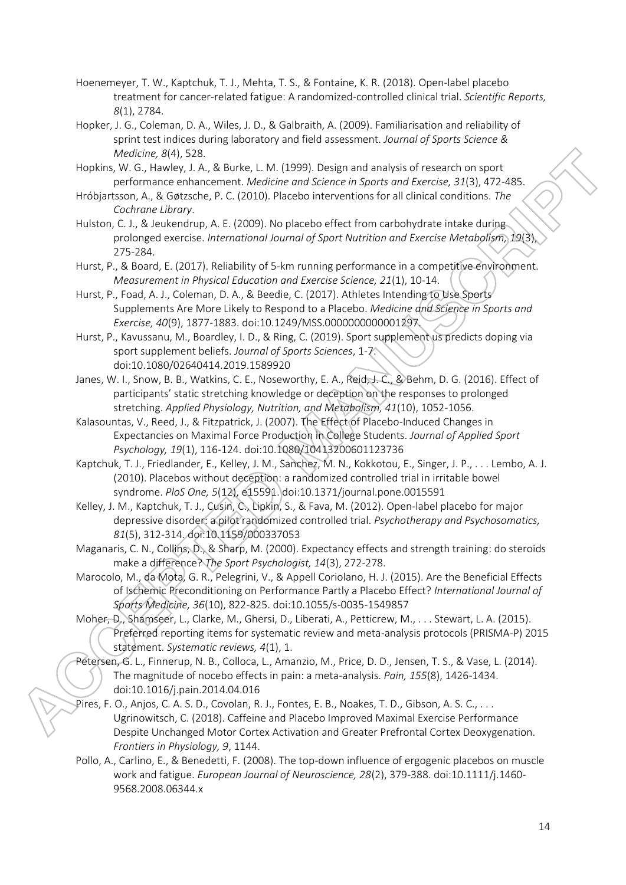Hoenemeyer, T. W., Kaptchuk, T. J., Mehta, T. S., & Fontaine, K. R. (2018). Open-label placebo treatment for cancer-related fatigue: A randomized-controlled clinical trial. *Scientific Reports, 8*(1), 2784.

Hopker, J. G., Coleman, D. A., Wiles, J. D., & Galbraith, A. (2009). Familiarisation and reliability of sprint test indices during laboratory and field assessment. *Journal of Sports Science & Medicine, 8*(4), 528.

Hopkins, W. G., Hawley, J. A., & Burke, L. M. (1999). Design and analysis of research on sport performance enhancement. *Medicine and Science in Sports and Exercise, 31*(3), 472-485.

Hróbjartsson, A., & Gøtzsche, P. C. (2010). Placebo interventions for all clinical conditions. *The Cochrane Library*.

Hulston, C. J., & Jeukendrup, A. E. (2009). No placebo effect from carbohydrate intake during prolonged exercise. *International Journal of Sport Nutrition and Exercise Metabolism, 19*(3), 275-284.

Hurst, P., & Board, E. (2017). Reliability of 5-km running performance in a competitive environment. *Measurement in Physical Education and Exercise Science, 21*(1), 10-14.

Hurst, P., Foad, A. J., Coleman, D. A., & Beedie, C. (2017). Athletes Intending to Use Sports Supplements Are More Likely to Respond to a Placebo. *Medicine and Science in Sports and Exercise, 40*(9), 1877-1883. doi:10.1249/MSS.0000000000001297.

Hurst, P., Kavussanu, M., Boardley, I. D., & Ring, C. (2019). Sport supplement us predicts doping via sport supplement beliefs. *Journal of Sports Sciences*, 1-7. doi:10.1080/02640414.2019.1589920

Janes, W. I., Snow, B. B., Watkins, C. E., Noseworthy, E. A., Reid, J. C., & Behm, D. G. (2016). Effect of participants' static stretching knowledge or deception on the responses to prolonged stretching. *Applied Physiology, Nutrition, and Metabolism, 41*(10), 1052-1056.

Kalasountas, V., Reed, J., & Fitzpatrick, J. (2007). The Effect of Placebo-Induced Changes in Expectancies on Maximal Force Production in College Students. *Journal of Applied Sport Psychology, 19*(1), 116-124. doi:10.1080/10413200601123736

Kaptchuk, T. J., Friedlander, E., Kelley, J. M., Sanchez, M. N., Kokkotou, E., Singer, J. P., . . . Lembo, A. J. (2010). Placebos without deception: a randomized controlled trial in irritable bowel syndrome. *PloS One, 5*(12), e15591. doi:10.1371/journal.pone.0015591

Kelley, J. M., Kaptchuk, T. J., Cusin, C., Lipkin, S., & Fava, M. (2012). Open-label placebo for major depressive disorder: a pilot randomized controlled trial. *Psychotherapy and Psychosomatics, 81*(5), 312-314. doi:10.1159/000337053

Maganaris, C. N., Collins, D., & Sharp, M. (2000). Expectancy effects and strength training: do steroids make a difference? *The Sport Psychologist, 14*(3), 272-278.

Marocolo, M., da Mota, G. R., Pelegrini, V., & Appell Coriolano, H. J. (2015). Are the Beneficial Effects of Ischemic Preconditioning on Performance Partly a Placebo Effect? *International Journal of Sports Medicine, 36*(10), 822-825. doi:10.1055/s-0035-1549857

Moher, D., Shamseer, L., Clarke, M., Ghersi, D., Liberati, A., Petticrew, M., . . . Stewart, L. A. (2015). Preferred reporting items for systematic review and meta-analysis protocols (PRISMA-P) 2015 statement. *Systematic reviews, 4*(1), 1.

Petersen, G. L., Finnerup, N. B., Colloca, L., Amanzio, M., Price, D. D., Jensen, T. S., & Vase, L. (2014). The magnitude of nocebo effects in pain: a meta-analysis. *Pain, 155*(8), 1426-1434. doi:10.1016/j.pain.2014.04.016

Pires, F. O., Anjos, C. A. S. D., Covolan, R. J., Fontes, E. B., Noakes, T. D., Gibson, A. S. C., . . . Ugrinowitsch, C. (2018). Caffeine and Placebo Improved Maximal Exercise Performance Despite Unchanged Motor Cortex Activation and Greater Prefrontal Cortex Deoxygenation. *Frontiers in Physiology, 9*, 1144.

Pollo, A., Carlino, E., & Benedetti, F. (2008). The top-down influence of ergogenic placebos on muscle work and fatigue. *European Journal of Neuroscience, 28*(2), 379-388. doi:10.1111/j.1460- 9568.2008.06344.x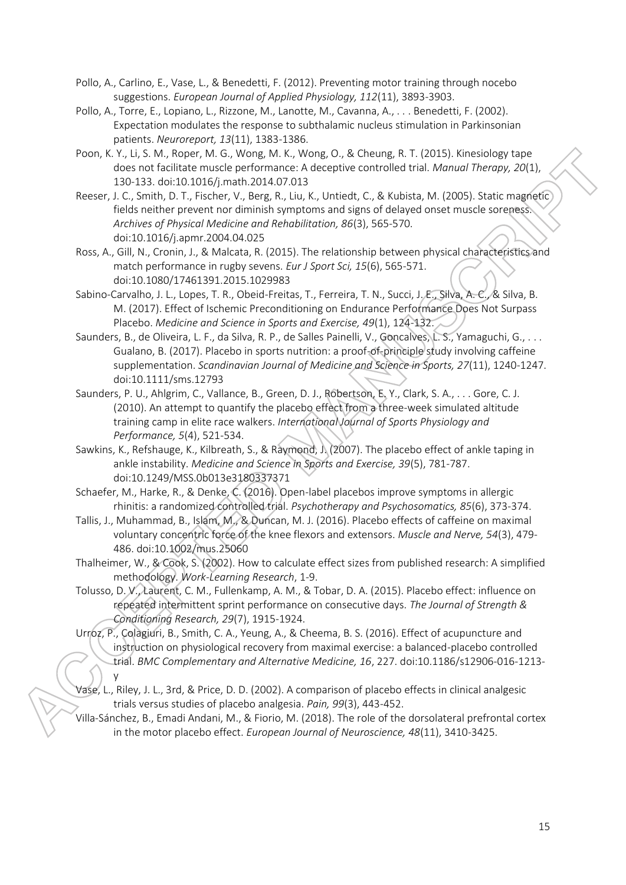- Pollo, A., Carlino, E., Vase, L., & Benedetti, F. (2012). Preventing motor training through nocebo suggestions. *European Journal of Applied Physiology, 112*(11), 3893-3903.
- Pollo, A., Torre, E., Lopiano, L., Rizzone, M., Lanotte, M., Cavanna, A., . . . Benedetti, F. (2002). Expectation modulates the response to subthalamic nucleus stimulation in Parkinsonian patients. *Neuroreport, 13*(11), 1383-1386.
- Poon, K. Y., Li, S. M., Roper, M. G., Wong, M. K., Wong, O., & Cheung, R. T. (2015). Kinesiology tape does not facilitate muscle performance: A deceptive controlled trial. *Manual Therapy, 20*(1), 130-133. doi:10.1016/j.math.2014.07.013
- Reeser, J. C., Smith, D. T., Fischer, V., Berg, R., Liu, K., Untiedt, C., & Kubista, M. (2005). Static magnetic fields neither prevent nor diminish symptoms and signs of delayed onset muscle soreness. *Archives of Physical Medicine and Rehabilitation, 86*(3), 565-570. doi:10.1016/j.apmr.2004.04.025
- Ross, A., Gill, N., Cronin, J., & Malcata, R. (2015). The relationship between physical characteristics and match performance in rugby sevens. *Eur J Sport Sci, 15*(6), 565-571. doi:10.1080/17461391.2015.1029983
- Sabino-Carvalho, J. L., Lopes, T. R., Obeid-Freitas, T., Ferreira, T. N., Succi, J. E., Silva, A. C., & Silva, B. M. (2017). Effect of Ischemic Preconditioning on Endurance Performance Does Not Surpass Placebo. *Medicine and Science in Sports and Exercise, 49*(1), 124-132.
- Saunders, B., de Oliveira, L. F., da Silva, R. P., de Salles Painelli, V., Goncalves, L. S., Yamaguchi, G., . . . Gualano, B. (2017). Placebo in sports nutrition: a proof-of-principle study involving caffeine supplementation. *Scandinavian Journal of Medicine and Science in Sports, 27*(11), 1240-1247. doi:10.1111/sms.12793
- Saunders, P. U., Ahlgrim, C., Vallance, B., Green, D. J., Robertson, E. Y., Clark, S. A., . . . Gore, C. J. (2010). An attempt to quantify the placebo effect from a three-week simulated altitude training camp in elite race walkers. *International Journal of Sports Physiology and Performance, 5*(4), 521-534.
- Sawkins, K., Refshauge, K., Kilbreath, S., & Raymond, J. (2007). The placebo effect of ankle taping in ankle instability. *Medicine and Science in Sports and Exercise, 39*(5), 781-787. doi:10.1249/MSS.0b013e3180337371
- Schaefer, M., Harke, R., & Denke, C. (2016). Open-label placebos improve symptoms in allergic rhinitis: a randomized controlled trial. *Psychotherapy and Psychosomatics, 85*(6), 373-374.
- Tallis, J., Muhammad, B., Islam, M., & Duncan, M. J. (2016). Placebo effects of caffeine on maximal voluntary concentric force of the knee flexors and extensors. *Muscle and Nerve, 54*(3), 479- 486. doi:10.1002/mus.25060
- Thalheimer, W., & Cook, S. (2002). How to calculate effect sizes from published research: A simplified methodology. *Work-Learning Research*, 1-9.
- Tolusso, D. V., Laurent, C. M., Fullenkamp, A. M., & Tobar, D. A. (2015). Placebo effect: influence on repeated intermittent sprint performance on consecutive days. *The Journal of Strength & Conditioning Research, 29*(7), 1915-1924.
- Urroz, P., Colagiuri, B., Smith, C. A., Yeung, A., & Cheema, B. S. (2016). Effect of acupuncture and instruction on physiological recovery from maximal exercise: a balanced-placebo controlled trial. *BMC Complementary and Alternative Medicine, 16*, 227. doi:10.1186/s12906-016-1213 y
- Vase, L., Riley, J. L., 3rd, & Price, D. D. (2002). A comparison of placebo effects in clinical analgesic trials versus studies of placebo analgesia. *Pain, 99*(3), 443-452.
- Villa‐Sánchez, B., Emadi Andani, M., & Fiorio, M. (2018). The role of the dorsolateral prefrontal cortex in the motor placebo effect. *European Journal of Neuroscience, 48*(11), 3410-3425.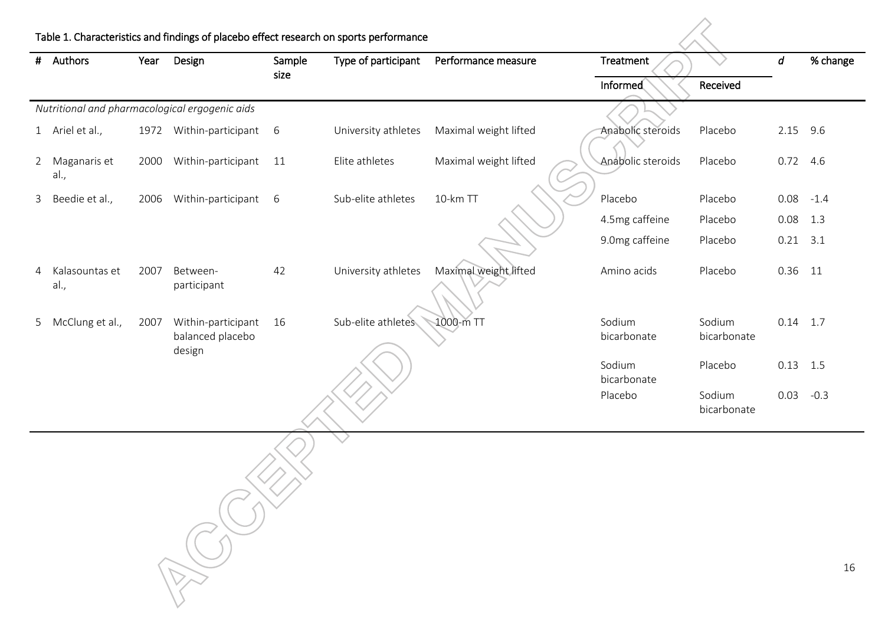|                | # Authors              | Year | Design                                           | Sample<br>size | Type of participant | Performance measure   | Treatment<br>Informed | Received              | d          | % change     |
|----------------|------------------------|------|--------------------------------------------------|----------------|---------------------|-----------------------|-----------------------|-----------------------|------------|--------------|
|                |                        |      | Nutritional and pharmacological ergogenic aids   |                |                     |                       |                       |                       |            |              |
|                | 1 Ariel et al.,        | 1972 | Within-participant                               | $\,6\,$        | University athletes | Maximal weight lifted | Anabolic steroids     | Placebo               | 2.15 9.6   |              |
| $\mathbf{2}$   | Maganaris et<br>al.,   | 2000 | Within-participant                               | 11             | Elite athletes      | Maximal weight lifted | Anabolic steroids     | Placebo               | $0.72$ 4.6 |              |
| 3              | Beedie et al.,         | 2006 | Within-participant 6                             |                | Sub-elite athletes  | 10-km TT              | Placebo               | Placebo               |            | $0.08 - 1.4$ |
|                |                        |      |                                                  |                |                     |                       | 4.5mg caffeine        | Placebo               | 0.08       | 1.3          |
|                |                        |      |                                                  |                |                     |                       | 9.0mg caffeine        | Placebo               | $0.21$ 3.1 |              |
| $\overline{4}$ | Kalasountas et<br>al., | 2007 | Between-<br>participant                          | 42             | University athletes | Maximal weight lifted | Amino acids           | Placebo               | $0.36$ 11  |              |
|                | 5 McClung et al.,      | 2007 | Within-participant<br>balanced placebo<br>design | 16             | Sub-elite athletes  | $1000-m$ TT           | Sodium<br>bicarbonate | Sodium<br>bicarbonate | $0.14$ 1.7 |              |
|                |                        |      |                                                  |                |                     |                       | Sodium<br>bicarbonate | Placebo               | $0.13$ 1.5 |              |
|                |                        |      |                                                  |                |                     |                       | Placebo               | Sodium<br>bicarbonate |            | $0.03 - 0.3$ |
|                |                        |      |                                                  |                |                     |                       |                       |                       |            | 16           |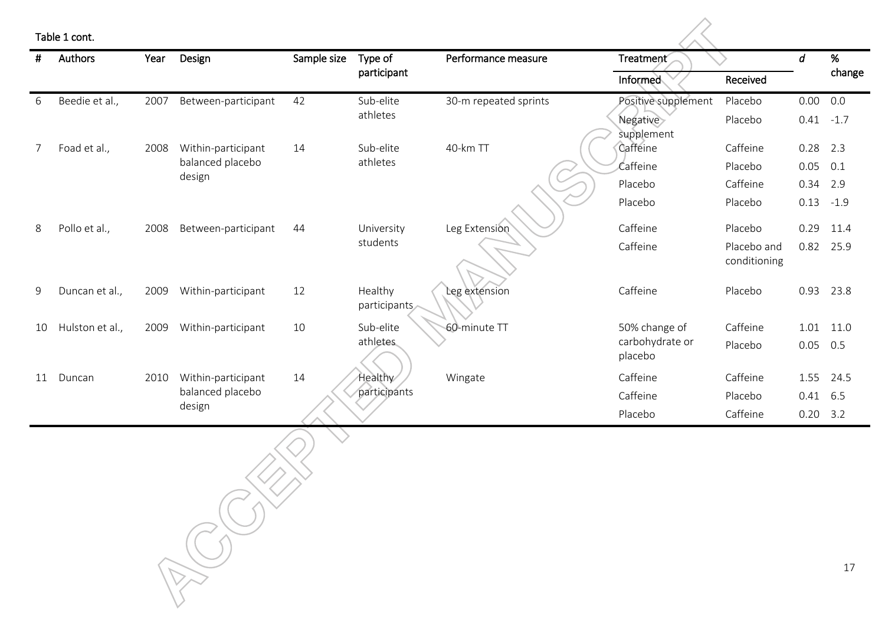Table 1 cont.

|    | $1001C + 10011C$ |      |                            |             |                         |                       |                            |                             |                  |        |
|----|------------------|------|----------------------------|-------------|-------------------------|-----------------------|----------------------------|-----------------------------|------------------|--------|
| #  | Authors          | Year | Design                     | Sample size | Type of                 | Performance measure   | Treatment                  |                             | $\boldsymbol{d}$ | %      |
|    |                  |      |                            |             | participant             |                       | Informed                   | Received                    |                  | change |
| 6  | Beedie et al.,   | 2007 | Between-participant        | 42          | Sub-elite               | 30-m repeated sprints | Positive supplement        | Placebo                     | $0.00 \quad 0.0$ |        |
|    |                  |      |                            |             | athletes                |                       | Negative                   | Placebo                     | $0.41 - 1.7$     |        |
|    |                  |      |                            |             |                         |                       | supplement                 |                             |                  |        |
| 7  | Foad et al.,     | 2008 | Within-participant         | 14          | Sub-elite               | 40-km TT              | Caffeine                   | Caffeine                    | $0.28$ 2.3       |        |
|    |                  |      | balanced placebo<br>design |             | athletes                |                       | Caffeine                   | Placebo                     | $0.05$ 0.1       |        |
|    |                  |      |                            |             |                         |                       | Placebo                    | Caffeine                    | 0.34             | 2.9    |
|    |                  |      |                            |             |                         |                       | Placebo                    | Placebo                     | 0.13             | $-1.9$ |
| 8  | Pollo et al.,    | 2008 | Between-participant        | 44          | University              | Leg Extension         | Caffeine                   | Placebo                     | 0.29             | 11.4   |
|    |                  |      |                            |             | students                |                       | Caffeine                   | Placebo and<br>conditioning | 0.82 25.9        |        |
| 9  | Duncan et al.,   | 2009 | Within-participant         | 12          | Healthy<br>participants | Leg extension         | Caffeine                   | Placebo                     | 0.93 23.8        |        |
| 10 | Hulston et al.,  | 2009 | Within-participant         | 10          | Sub-elite               | 60-minute TT          | 50% change of              | Caffeine                    | 1.01 11.0        |        |
|    |                  |      |                            |             | athletes                |                       | carbohydrate or<br>placebo | Placebo                     | $0.05$ 0.5       |        |
|    | 11 Duncan        | 2010 | Within-participant         | 14          | Healthy                 | Wingate               | Caffeine                   | Caffeine                    | 1.55 24.5        |        |
|    |                  |      | balanced placebo           |             | participants            |                       | Caffeine                   | Placebo                     | 0.41             | 6.5    |
|    |                  |      | design                     |             |                         |                       | Placebo                    | Caffeine                    | $0.20$ 3.2       |        |
|    |                  |      |                            |             |                         |                       |                            |                             |                  |        |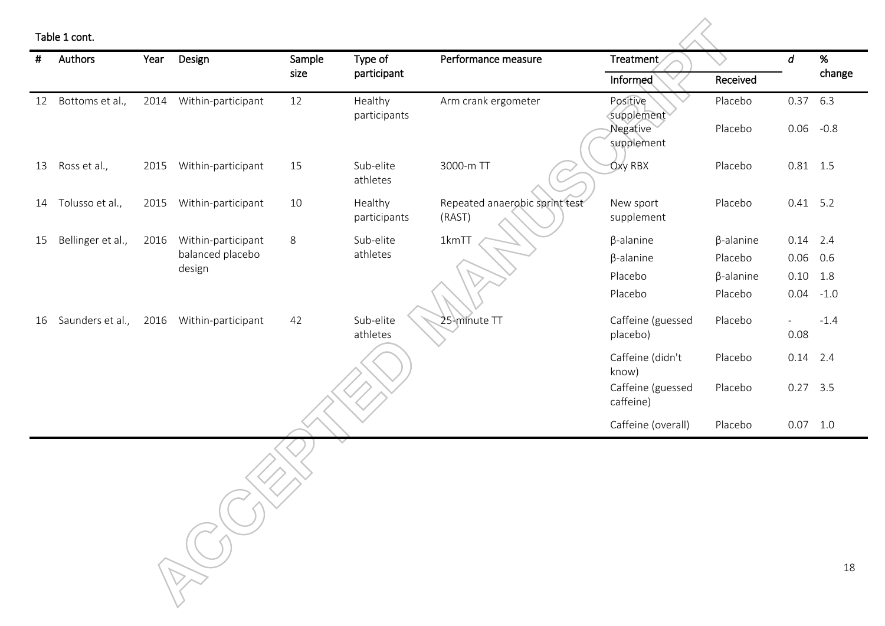Table 1 cont.

| #  | Authors           |      | Year Design                | Sample | Type of      | Performance measure            | Treatment                      |                  | d           | %            |
|----|-------------------|------|----------------------------|--------|--------------|--------------------------------|--------------------------------|------------------|-------------|--------------|
|    |                   |      |                            | size   | participant  |                                | Informed                       | Received         |             | change       |
| 12 | Bottoms et al.,   | 2014 | Within-participant         | 12     | Healthy      | Arm crank ergometer            | Positive                       | Placebo          | $0.37$ 6.3  |              |
|    |                   |      |                            |        | participants |                                | supplement<br>Negative         | Placebo          | $0.06 -0.8$ |              |
|    |                   |      |                            |        |              |                                | supplement                     |                  |             |              |
| 13 | Ross et al.,      | 2015 | Within-participant         | 15     | Sub-elite    | 3000-m TT                      | Oxy RBX                        | Placebo          | $0.81$ 1.5  |              |
|    |                   |      |                            |        | athletes     |                                |                                |                  |             |              |
| 14 | Tolusso et al.,   |      | 2015 Within-participant    | 10     | Healthy      | Repeated anaerobic sprint test | New sport                      | Placebo          | $0.41$ 5.2  |              |
|    |                   |      |                            |        | participants | (RAST)                         | supplement                     |                  |             |              |
| 15 | Bellinger et al., | 2016 | Within-participant         | 8      | Sub-elite    | 1kmTT                          | $\beta$ -alanine               | $\beta$ -alanine | $0.14$ 2.4  |              |
|    |                   |      | balanced placebo<br>design |        | athletes     |                                | $\beta$ -alanine               | Placebo          | 0.06        | 0.6          |
|    |                   |      |                            |        |              |                                | Placebo                        | $\beta$ -alanine | $0.10$ 1.8  |              |
|    |                   |      |                            |        |              |                                | Placebo                        | Placebo          |             | $0.04 - 1.0$ |
| 16 | Saunders et al.,  |      | 2016 Within-participant    | 42     | Sub-elite    | 25-minute TT                   | Caffeine (guessed              | Placebo          |             | $-1.4$       |
|    |                   |      |                            |        | athletes     |                                | placebo)                       |                  | 0.08        |              |
|    |                   |      |                            |        |              |                                | Caffeine (didn't               | Placebo          | 0.14        | 2.4          |
|    |                   |      |                            |        |              |                                | know)                          |                  |             |              |
|    |                   |      |                            |        |              |                                | Caffeine (guessed<br>caffeine) | Placebo          | $0.27$ 3.5  |              |
|    |                   |      |                            |        |              |                                | Caffeine (overall)             | Placebo          | $0.07$ 1.0  |              |
|    |                   |      |                            |        |              |                                |                                |                  |             |              |
|    |                   |      |                            |        |              |                                |                                |                  |             |              |
|    |                   |      |                            |        |              |                                |                                |                  |             |              |
|    |                   |      |                            |        |              |                                |                                |                  |             |              |
|    |                   |      |                            |        |              |                                |                                |                  |             |              |
|    |                   |      |                            |        |              |                                |                                |                  |             |              |
|    |                   |      |                            |        |              |                                |                                |                  |             | 18           |
|    |                   |      |                            |        |              |                                |                                |                  |             |              |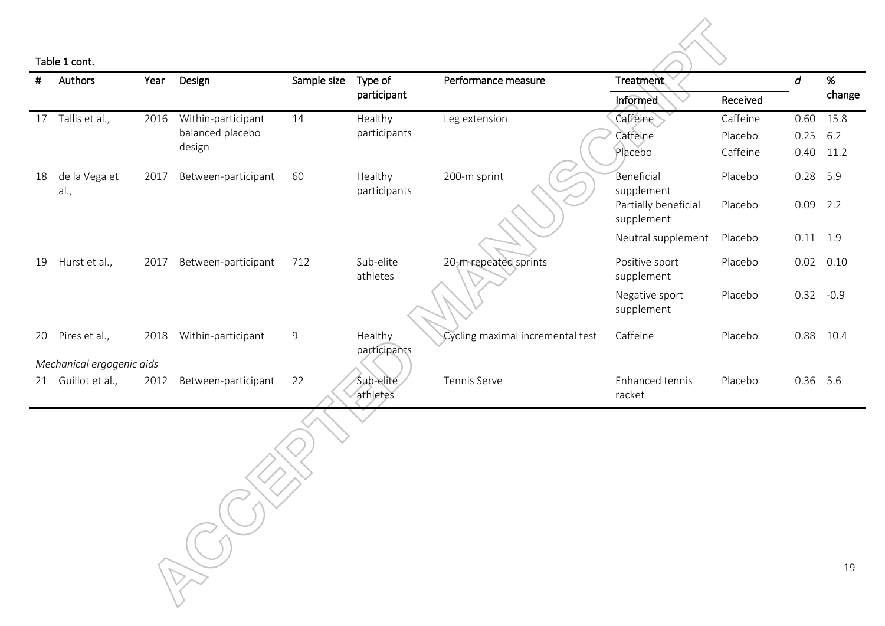|    | Table 1 cont.             |      |                     |             |              |                                  |                                    |          |            |        |
|----|---------------------------|------|---------------------|-------------|--------------|----------------------------------|------------------------------------|----------|------------|--------|
| #  | Authors                   | Year | Design              | Sample size | Type of      | Performance measure              | Treatment                          |          | d          | %      |
|    |                           |      |                     |             | participant  |                                  | Informed                           | Received |            | change |
|    | 17 Tallis et al.,         | 2016 | Within-participant  | 14          | Healthy      | Leg extension                    | Caffeine                           | Caffeine | 0.60       | 15.8   |
|    |                           |      | balanced placebo    |             | participants |                                  | Caffeine                           | Placebo  | 0.25       | 6.2    |
|    |                           |      | design              |             |              |                                  | Placebo                            | Caffeine | 0.40       | 11.2   |
| 18 | de la Vega et             | 2017 | Between-participant | 60          | Healthy      | 200-m sprint                     | Beneficial                         | Placebo  | $0.28$ 5.9 |        |
|    | al.,                      |      |                     |             | participants |                                  | supplement                         |          |            |        |
|    |                           |      |                     |             |              |                                  | Partially beneficial<br>supplement | Placebo  | 0.09       | 2.2    |
|    |                           |      |                     |             |              |                                  | Neutral supplement                 | Placebo  | $0.11$ 1.9 |        |
| 19 | Hurst et al.,             | 2017 | Between-participant | 712         | Sub-elite    | 20-m repeated sprints            | Positive sport                     | Placebo  | 0.02       | 0.10   |
|    |                           |      |                     |             | athletes     |                                  | supplement                         |          |            |        |
|    |                           |      |                     |             |              |                                  | Negative sport<br>supplement       | Placebo  | 0.32       | $-0.9$ |
| 20 | Pires et al.,             | 2018 | Within-participant  | 9           | Healthy      | Cycling maximal incremental test | Caffeine                           | Placebo  | 0.88       | 10.4   |
|    | Mechanical ergogenic aids |      |                     |             | participants |                                  |                                    |          |            |        |
| 21 | Guillot et al.,           | 2012 | Between-participant | 22          | Sub-elite    | Tennis Serve                     | Enhanced tennis                    | Placebo  | 0.36 5.6   |        |
|    |                           |      |                     |             | athletes     |                                  | racket                             |          |            |        |
|    |                           |      |                     |             |              |                                  |                                    |          |            |        |
|    |                           |      |                     |             |              |                                  |                                    |          |            | 19     |

 $\overline{\mathcal{R}}$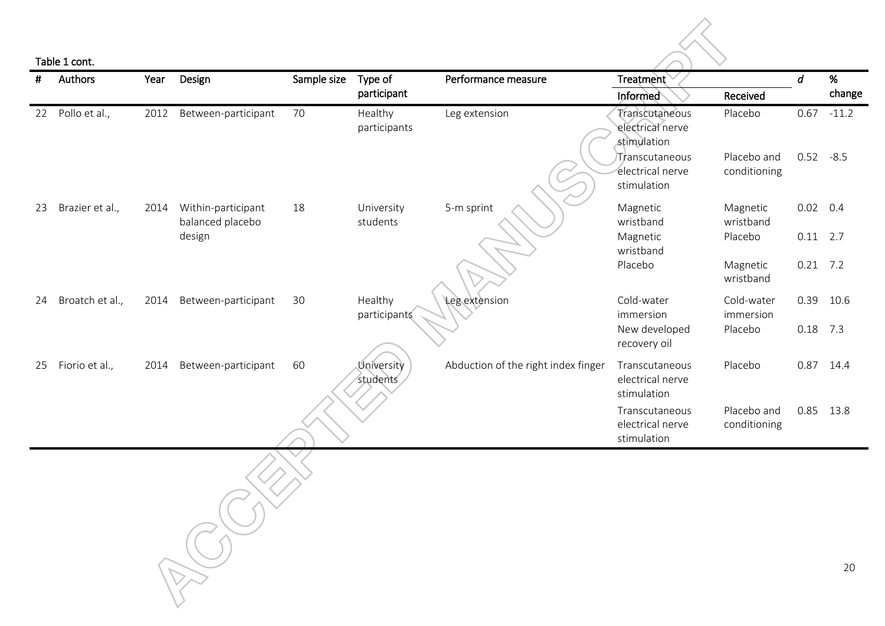|    | Table 1 cont.   |      |                                        |             |                         |                                     |                                                   |                             |            |         |
|----|-----------------|------|----------------------------------------|-------------|-------------------------|-------------------------------------|---------------------------------------------------|-----------------------------|------------|---------|
| #  | Authors         | Year | Design                                 | Sample size | Type of                 | Performance measure                 | Treatment                                         |                             | d          | %       |
|    |                 |      |                                        |             | participant             |                                     | Informed                                          | Received                    |            | change  |
| 22 | Pollo et al.,   | 2012 | Between-participant                    | 70          | Healthy<br>participants | Leg extension                       | Transcutaneous<br>electrical nerve<br>stimulation | Placebo                     | 0.67       | $-11.2$ |
|    |                 |      |                                        |             |                         |                                     | Transcutaneous<br>electrical nerve<br>stimulation | Placebo and<br>conditioning | 0.52       | $-8.5$  |
| 23 | Brazier et al., | 2014 | Within-participant<br>balanced placebo | 18          | University<br>students  | 5-m sprint                          | Magnetic<br>wristband                             | Magnetic<br>wristband       | 0.02       | 0.4     |
|    |                 |      | design                                 |             |                         |                                     | Magnetic<br>wristband                             | Placebo                     | $0.11$ 2.7 |         |
|    |                 |      |                                        |             |                         |                                     | Placebo                                           | Magnetic<br>wristband       | 0.21       | 7.2     |
| 24 | Broatch et al., | 2014 | Between-participant                    | 30          | Healthy<br>participants | Leg extension                       | Cold-water<br>immersion                           | Cold-water<br>immersion     | 0.39       | 10.6    |
|    |                 |      |                                        |             |                         |                                     | New developed<br>recovery oil                     | Placebo                     | 0.18       | 7.3     |
| 25 | Fiorio et al.,  | 2014 | Between-participant                    | 60          | University<br>students  | Abduction of the right index finger | Transcutaneous<br>electrical nerve<br>stimulation | Placebo                     | 0.87       | 14.4    |
|    |                 |      |                                        |             |                         |                                     | Transcutaneous<br>electrical nerve<br>stimulation | Placebo and<br>conditioning | 0.85       | 13.8    |
|    |                 |      |                                        |             |                         |                                     |                                                   |                             |            |         |
|    |                 |      |                                        |             |                         |                                     |                                                   |                             |            | 20      |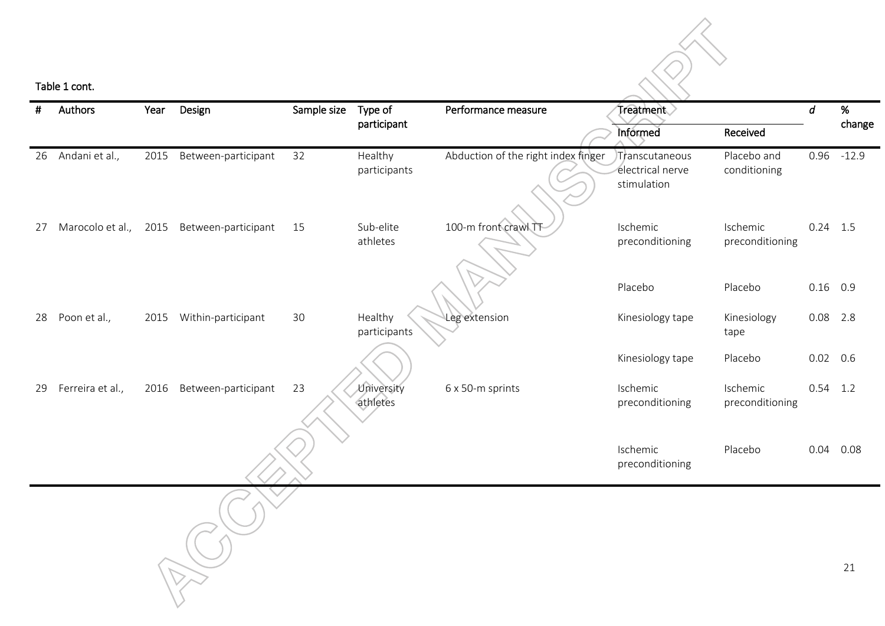| participant<br>Andani et al.,<br>32<br>Abduction of the right index finger<br>2015<br>Between-participant<br>Healthy<br>26<br>participants<br>Sub-elite<br>100-m front crawl TT<br>Marocolo et al.,<br>2015 Between-participant<br>15<br>27<br>athletes<br>Healthy<br>Poon et al.,<br>Within-participant<br>30<br>Leg extension<br>2015<br>28<br>participants<br>University<br>23<br>Between-participant<br>6 x 50-m sprints<br>Ferreira et al.,<br>2016<br>29<br>athletes | Informed<br>Transcutaneous<br>electrical nerve<br>stimulation<br>Ischemic<br>preconditioning | Received<br>Placebo and<br>conditioning<br>Ischemic<br>preconditioning | 0.96       | change<br>$-12.9$ |
|----------------------------------------------------------------------------------------------------------------------------------------------------------------------------------------------------------------------------------------------------------------------------------------------------------------------------------------------------------------------------------------------------------------------------------------------------------------------------|----------------------------------------------------------------------------------------------|------------------------------------------------------------------------|------------|-------------------|
|                                                                                                                                                                                                                                                                                                                                                                                                                                                                            |                                                                                              |                                                                        |            |                   |
|                                                                                                                                                                                                                                                                                                                                                                                                                                                                            |                                                                                              |                                                                        |            |                   |
|                                                                                                                                                                                                                                                                                                                                                                                                                                                                            |                                                                                              |                                                                        |            | $0.24$ 1.5        |
|                                                                                                                                                                                                                                                                                                                                                                                                                                                                            | Placebo                                                                                      | Placebo                                                                | $0.16$ 0.9 |                   |
|                                                                                                                                                                                                                                                                                                                                                                                                                                                                            | Kinesiology tape                                                                             | Kinesiology<br>tape                                                    | $0.08$ 2.8 |                   |
|                                                                                                                                                                                                                                                                                                                                                                                                                                                                            | Kinesiology tape                                                                             | Placebo                                                                | $0.02$ 0.6 |                   |
|                                                                                                                                                                                                                                                                                                                                                                                                                                                                            | Ischemic<br>preconditioning                                                                  | Ischemic<br>preconditioning                                            | $0.54$ 1.2 |                   |
|                                                                                                                                                                                                                                                                                                                                                                                                                                                                            | Ischemic<br>preconditioning                                                                  | Placebo                                                                |            | $0.04$ 0.08       |
|                                                                                                                                                                                                                                                                                                                                                                                                                                                                            |                                                                                              |                                                                        |            |                   |
|                                                                                                                                                                                                                                                                                                                                                                                                                                                                            |                                                                                              |                                                                        |            |                   |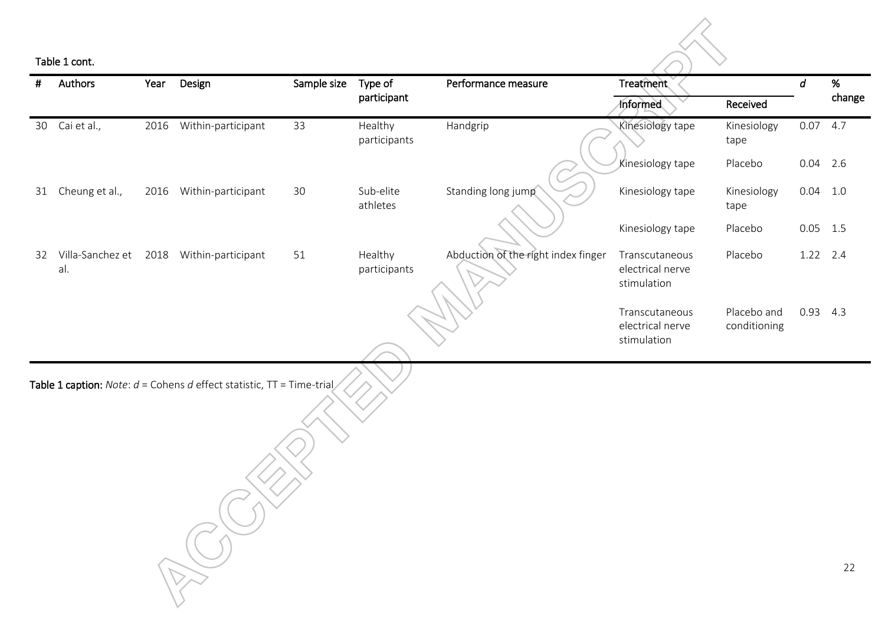| #  | Table 1 cont.<br>Authors | Year | Design                                                                    | Sample size | Type of                 | Performance measure                 | Treatment                                         |                             |                  | $\%$   |
|----|--------------------------|------|---------------------------------------------------------------------------|-------------|-------------------------|-------------------------------------|---------------------------------------------------|-----------------------------|------------------|--------|
|    |                          |      |                                                                           |             | participant             |                                     | Informed                                          | Received                    | $\boldsymbol{d}$ | change |
| 30 | Cai et al.,              | 2016 | Within-participant                                                        | 33          | Healthy<br>participants | Handgrip                            | Kinesiology tape                                  | Kinesiology<br>tape         | $0.07$ 4.7       |        |
|    |                          |      |                                                                           |             |                         |                                     | Kinesiology tape                                  | Placebo                     | $0.04$ 2.6       |        |
| 31 | Cheung et al.,           | 2016 | Within-participant                                                        | 30          | Sub-elite<br>athletes   | Standing long jump                  | Kinesiology tape                                  | Kinesiology<br>tape         | $0.04$ 1.0       |        |
|    |                          |      |                                                                           |             |                         |                                     | Kinesiology tape                                  | Placebo                     | $0.05$ 1.5       |        |
|    | al.                      |      | 32 Villa-Sanchez et 2018 Within-participant                               | 51          | Healthy<br>participants | Abduction of the right index finger | Transcutaneous<br>electrical nerve<br>stimulation | Placebo                     | $1.22$ 2.4       |        |
|    |                          |      |                                                                           |             |                         |                                     | Transcutaneous<br>electrical nerve<br>stimulation | Placebo and<br>conditioning | $0.93$ 4.3       |        |
|    |                          |      | Table 1 caption: Note: $d$ = Cohens $d$ effect statistic, TT = Time-trial |             |                         |                                     |                                                   |                             |                  |        |
|    |                          |      |                                                                           |             |                         |                                     |                                                   |                             |                  | 22     |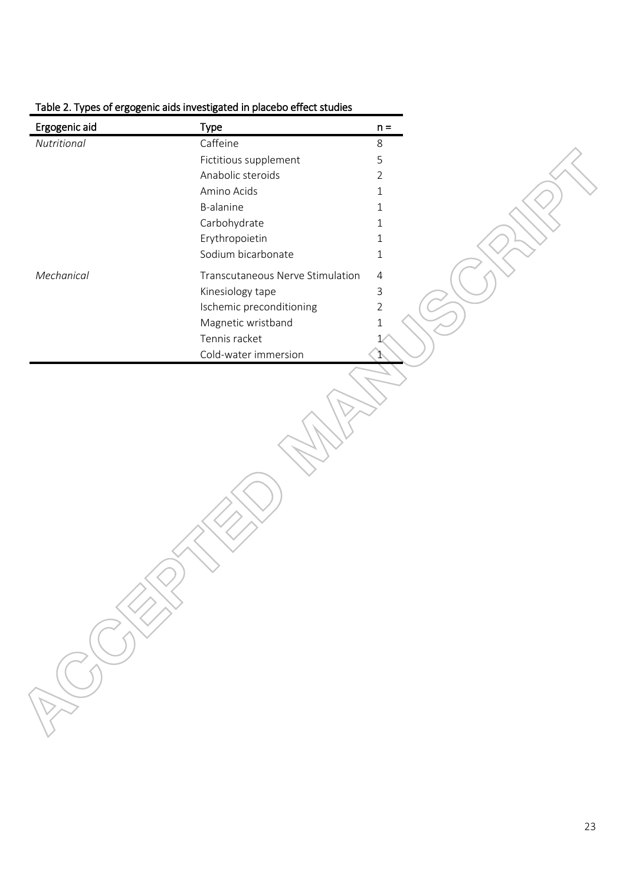| Table 2. Types of ergogenic aids investigated in placebo effect studies |  |
|-------------------------------------------------------------------------|--|
|-------------------------------------------------------------------------|--|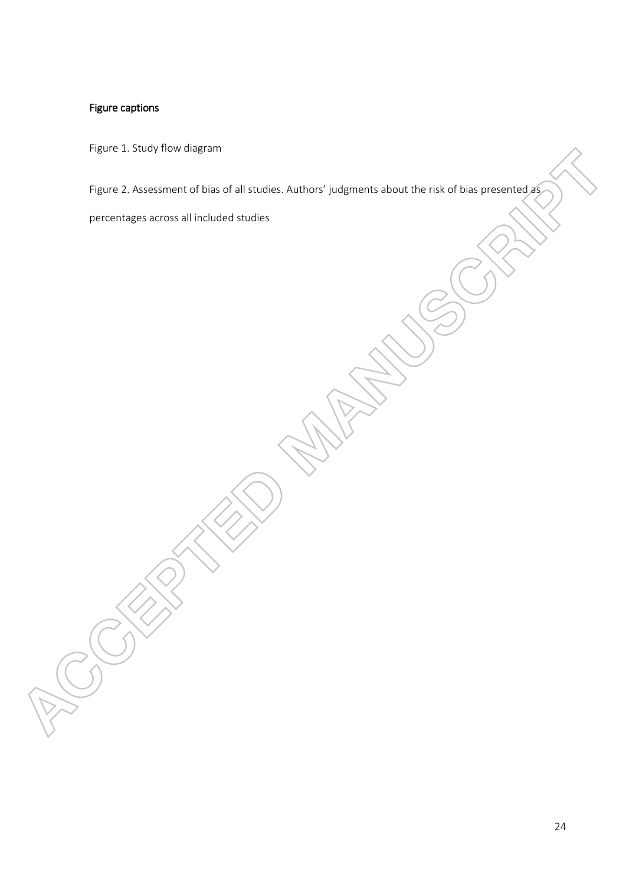# Figure captions

Figure 1. Study flow diagram

Figure 2. Assessment of bias of all studies. Authors' judgments about the risk of bias presented as

percentages across all included studies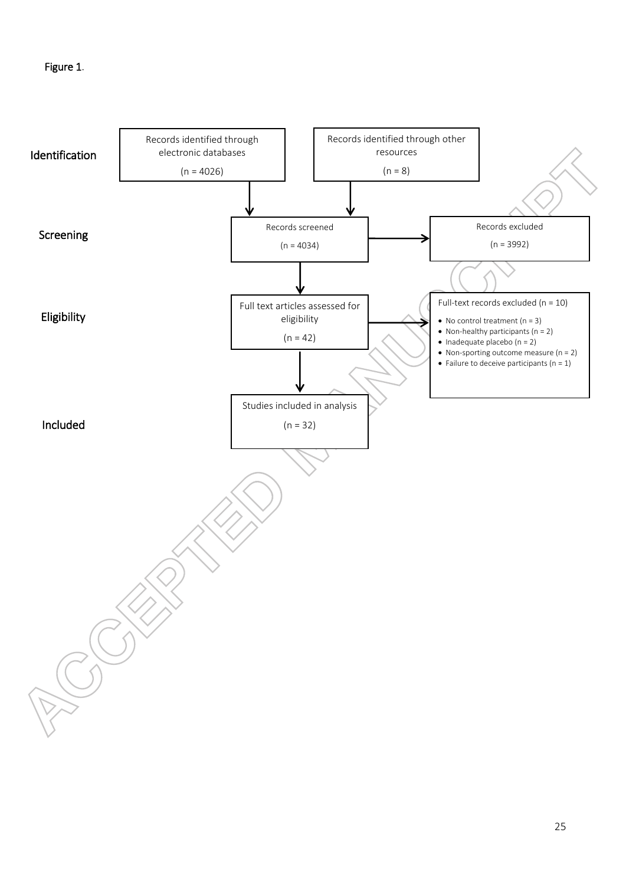# Figure 1.